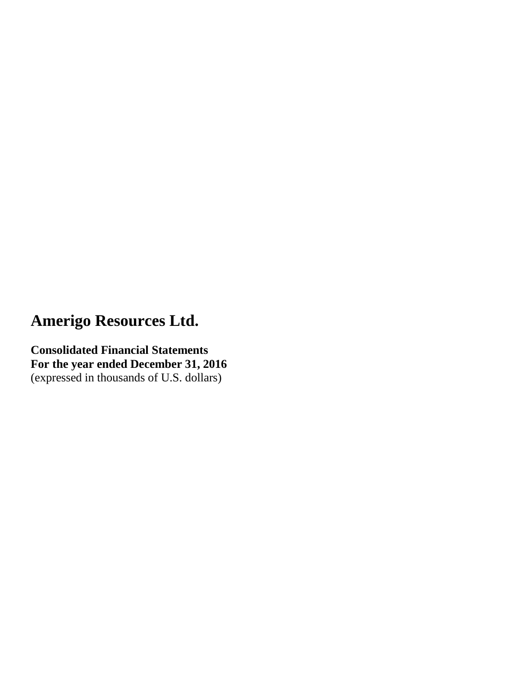**Consolidated Financial Statements For the year ended December 31, 2016** (expressed in thousands of U.S. dollars)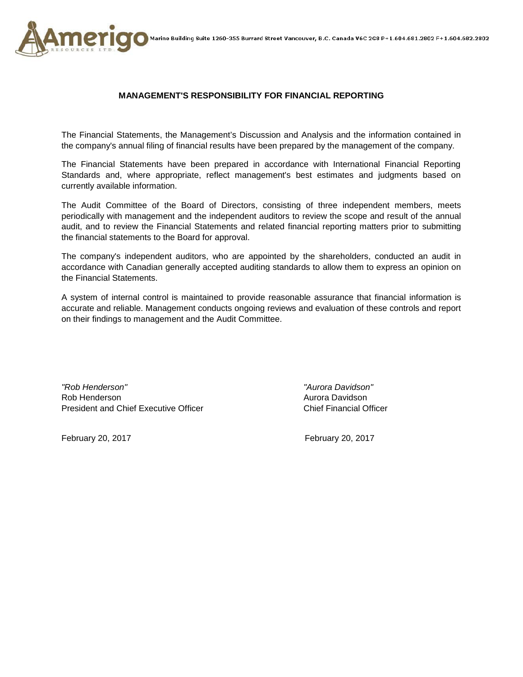

### **MANAGEMENT'S RESPONSIBILITY FOR FINANCIAL REPORTING**

The Financial Statements, the Management's Discussion and Analysis and the information contained in the company's annual filing of financial results have been prepared by the management of the company.

The Financial Statements have been prepared in accordance with International Financial Reporting Standards and, where appropriate, reflect management's best estimates and judgments based on currently available information.

The Audit Committee of the Board of Directors, consisting of three independent members, meets periodically with management and the independent auditors to review the scope and result of the annual audit, and to review the Financial Statements and related financial reporting matters prior to submitting the financial statements to the Board for approval.

The company's independent auditors, who are appointed by the shareholders, conducted an audit in accordance with Canadian generally accepted auditing standards to allow them to express an opinion on the Financial Statements.

A system of internal control is maintained to provide reasonable assurance that financial information is accurate and reliable. Management conducts ongoing reviews and evaluation of these controls and report on their findings to management and the Audit Committee.

*"Rob Henderson" "Aurora Davidson"* Rob Henderson **Aurora Davidson** Aurora Davidson President and Chief Executive Officer Chief Financial Officer

February 20, 2017 February 20, 2017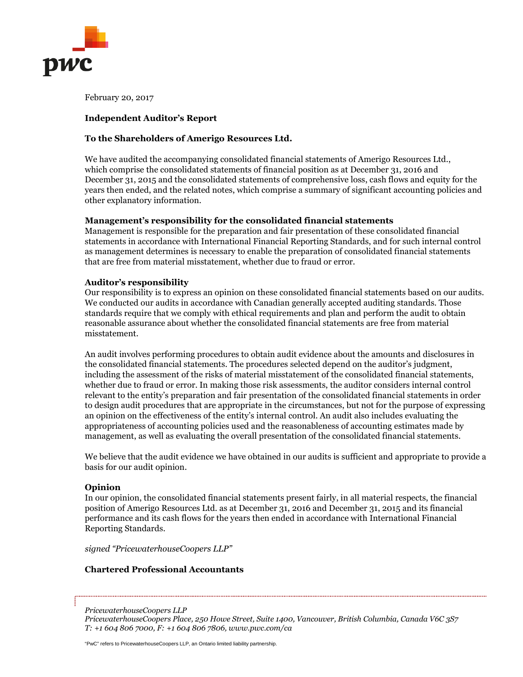

February 20, 2017

### **Independent Auditor's Report**

#### **To the Shareholders of Amerigo Resources Ltd.**

We have audited the accompanying consolidated financial statements of Amerigo Resources Ltd., which comprise the consolidated statements of financial position as at December 31, 2016 and December 31, 2015 and the consolidated statements of comprehensive loss, cash flows and equity for the years then ended, and the related notes, which comprise a summary of significant accounting policies and other explanatory information.

#### **Management's responsibility for the consolidated financial statements**

Management is responsible for the preparation and fair presentation of these consolidated financial statements in accordance with International Financial Reporting Standards, and for such internal control as management determines is necessary to enable the preparation of consolidated financial statements that are free from material misstatement, whether due to fraud or error.

#### **Auditor's responsibility**

Our responsibility is to express an opinion on these consolidated financial statements based on our audits. We conducted our audits in accordance with Canadian generally accepted auditing standards. Those standards require that we comply with ethical requirements and plan and perform the audit to obtain reasonable assurance about whether the consolidated financial statements are free from material misstatement.

An audit involves performing procedures to obtain audit evidence about the amounts and disclosures in the consolidated financial statements. The procedures selected depend on the auditor's judgment, including the assessment of the risks of material misstatement of the consolidated financial statements, whether due to fraud or error. In making those risk assessments, the auditor considers internal control relevant to the entity's preparation and fair presentation of the consolidated financial statements in order to design audit procedures that are appropriate in the circumstances, but not for the purpose of expressing an opinion on the effectiveness of the entity's internal control. An audit also includes evaluating the appropriateness of accounting policies used and the reasonableness of accounting estimates made by management, as well as evaluating the overall presentation of the consolidated financial statements.

We believe that the audit evidence we have obtained in our audits is sufficient and appropriate to provide a basis for our audit opinion.

#### **Opinion**

In our opinion, the consolidated financial statements present fairly, in all material respects, the financial position of Amerigo Resources Ltd. as at December 31, 2016 and December 31, 2015 and its financial performance and its cash flows for the years then ended in accordance with International Financial Reporting Standards.

*signed "PricewaterhouseCoopers LLP"*

#### **Chartered Professional Accountants**

#### *PricewaterhouseCoopers LLP*

*PricewaterhouseCoopers Place, 250 Howe Street, Suite 1400, Vancouver, British Columbia, Canada V6C 3S7 T: +1 604 806 7000, F: +1 604 806 7806, www.pwc.com/ca*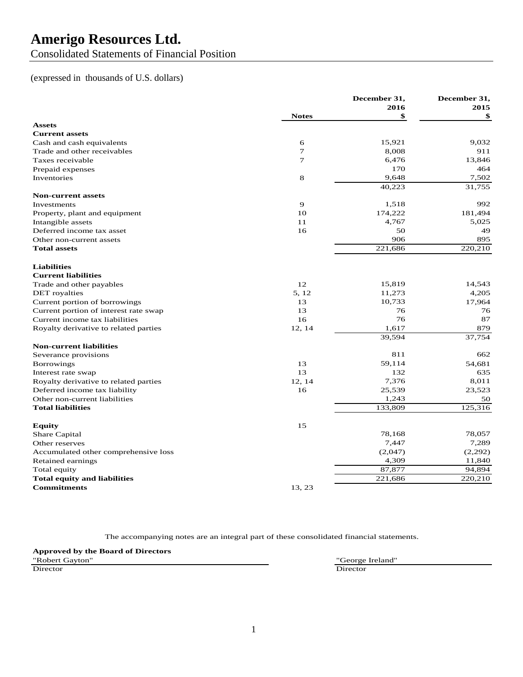Consolidated Statements of Financial Position

### (expressed in thousands of U.S. dollars)

|                                       |              | December 31, | December 31, |
|---------------------------------------|--------------|--------------|--------------|
|                                       |              | 2016         | 2015         |
| <b>Assets</b>                         | <b>Notes</b> | \$           | \$           |
| <b>Current assets</b>                 |              |              |              |
| Cash and cash equivalents             | 6            | 15,921       | 9,032        |
| Trade and other receivables           | 7            | 8,008        | 911          |
| Taxes receivable                      | 7            | 6,476        | 13,846       |
| Prepaid expenses                      |              | 170          | 464          |
| Inventories                           | 8            | 9,648        | 7,502        |
|                                       |              | 40,223       | 31,755       |
| <b>Non-current assets</b>             |              |              |              |
| Investments                           | 9            | 1,518        | 992          |
| Property, plant and equipment         | 10           | 174,222      | 181,494      |
| Intangible assets                     | 11           | 4,767        | 5,025        |
| Deferred income tax asset             | 16           | 50           | 49           |
| Other non-current assets              |              | 906          | 895          |
| <b>Total assets</b>                   |              | 221,686      | 220,210      |
|                                       |              |              |              |
| <b>Liabilities</b>                    |              |              |              |
| <b>Current liabilities</b>            |              |              |              |
| Trade and other payables              | 12           | 15,819       | 14.543       |
| DET royalties                         | 5, 12        | 11,273       | 4,205        |
| Current portion of borrowings         | 13           | 10,733       | 17,964       |
| Current portion of interest rate swap | 13           | 76           | 76           |
| Current income tax liabilities        | 16           | 76           | 87           |
| Royalty derivative to related parties | 12, 14       | 1,617        | 879          |
|                                       |              | 39,594       | 37,754       |
| <b>Non-current liabilities</b>        |              |              |              |
| Severance provisions                  |              | 811          | 662          |
| <b>Borrowings</b>                     | 13           | 59,114       | 54,681       |
| Interest rate swap                    | 13           | 132          | 635          |
| Royalty derivative to related parties | 12, 14       | 7,376        | 8,011        |
| Deferred income tax liability         | 16           | 25,539       | 23,523       |
| Other non-current liabilities         |              | 1,243        | 50           |
| <b>Total liabilities</b>              |              | 133,809      | 125,316      |
|                                       |              |              |              |
| <b>Equity</b>                         | 15           |              |              |
| Share Capital                         |              | 78,168       | 78,057       |
| Other reserves                        |              | 7,447        | 7,289        |
| Accumulated other comprehensive loss  |              | (2,047)      | (2,292)      |
| Retained earnings                     |              | 4,309        | 11,840       |
| Total equity                          |              | 87,877       | 94,894       |
| <b>Total equity and liabilities</b>   |              | 221,686      | 220,210      |
| <b>Commitments</b>                    | 13.23        |              |              |

The accompanying notes are an integral part of these consolidated financial statements.

**Approved by the Board of Directors** "Robert Gayton" "George Ireland" Director Director **Director** Director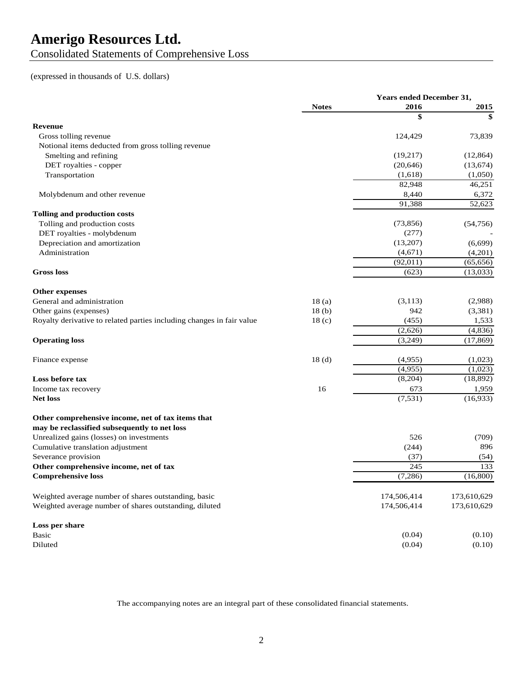Consolidated Statements of Comprehensive Loss

## (expressed in thousands of U.S. dollars)

|                                                                             |                   | <b>Years ended December 31,</b> |             |
|-----------------------------------------------------------------------------|-------------------|---------------------------------|-------------|
|                                                                             | <b>Notes</b>      | 2016                            | 2015        |
| <b>Revenue</b>                                                              |                   | \$                              | \$          |
|                                                                             |                   | 124,429                         | 73,839      |
| Gross tolling revenue<br>Notional items deducted from gross tolling revenue |                   |                                 |             |
| Smelting and refining                                                       |                   | (19,217)                        | (12, 864)   |
|                                                                             |                   |                                 |             |
| DET royalties - copper                                                      |                   | (20, 646)                       | (13,674)    |
| Transportation                                                              |                   | (1,618)                         | (1,050)     |
|                                                                             |                   | 82,948                          | 46,251      |
| Molybdenum and other revenue                                                |                   | 8,440                           | 6,372       |
|                                                                             |                   | 91,388                          | 52,623      |
| <b>Tolling and production costs</b>                                         |                   |                                 |             |
| Tolling and production costs                                                |                   | (73, 856)                       | (54, 756)   |
| DET royalties - molybdenum                                                  |                   | (277)                           |             |
| Depreciation and amortization                                               |                   | (13,207)                        | (6,699)     |
| Administration                                                              |                   | (4,671)                         | (4,201)     |
|                                                                             |                   | (92, 011)                       | (65, 656)   |
| <b>Gross loss</b>                                                           |                   | (623)                           | (13,033)    |
| <b>Other expenses</b>                                                       |                   |                                 |             |
| General and administration                                                  | 18(a)             | (3,113)                         | (2,988)     |
| Other gains (expenses)                                                      | 18 <sub>(b)</sub> | 942                             | (3,381)     |
| Royalty derivative to related parties including changes in fair value       | 18 <sub>(c)</sub> | (455)                           | 1,533       |
|                                                                             |                   | (2,626)                         | (4,836)     |
| <b>Operating loss</b>                                                       |                   | (3,249)                         | (17, 869)   |
| Finance expense                                                             | 18 <sub>(d)</sub> | (4,955)                         | (1,023)     |
|                                                                             |                   | (4,955)                         | (1,023)     |
| Loss before tax                                                             |                   | (8,204)                         | (18, 892)   |
| Income tax recovery                                                         | 16                | 673                             | 1,959       |
| <b>Net loss</b>                                                             |                   | (7, 531)                        | (16,933)    |
| Other comprehensive income, net of tax items that                           |                   |                                 |             |
| may be reclassified subsequently to net loss                                |                   |                                 |             |
| Unrealized gains (losses) on investments                                    |                   | 526                             | (709)       |
| Cumulative translation adjustment                                           |                   | (244)                           | 896         |
| Severance provision                                                         |                   | (37)                            | (54)        |
|                                                                             |                   | 245                             | 133         |
| Other comprehensive income, net of tax<br><b>Comprehensive loss</b>         |                   | (7, 286)                        | (16, 800)   |
|                                                                             |                   |                                 |             |
| Weighted average number of shares outstanding, basic                        |                   | 174,506,414                     | 173,610,629 |
| Weighted average number of shares outstanding, diluted                      |                   | 174,506,414                     | 173,610,629 |
| Loss per share                                                              |                   |                                 |             |
| Basic                                                                       |                   | (0.04)                          | (0.10)      |
| Diluted                                                                     |                   | (0.04)                          | (0.10)      |
|                                                                             |                   |                                 |             |

The accompanying notes are an integral part of these consolidated financial statements.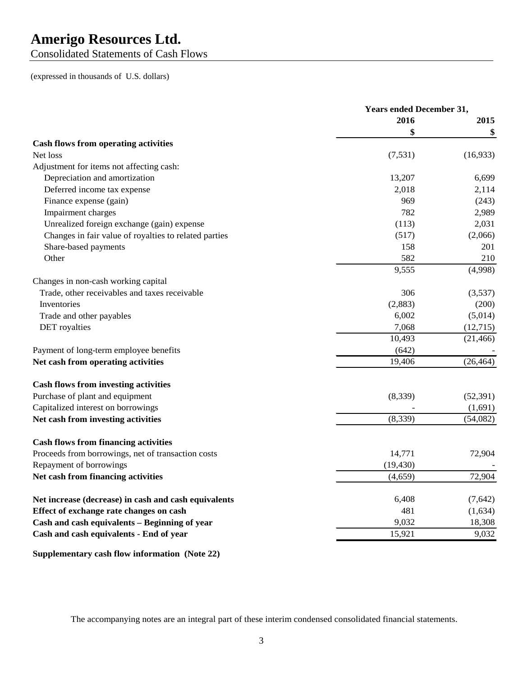Consolidated Statements of Cash Flows

(expressed in thousands of U.S. dollars)

|                                                       | <b>Years ended December 31,</b> |           |
|-------------------------------------------------------|---------------------------------|-----------|
|                                                       | 2016                            | 2015      |
|                                                       | \$                              | \$        |
| <b>Cash flows from operating activities</b>           |                                 |           |
| Net loss                                              | (7,531)                         | (16,933)  |
| Adjustment for items not affecting cash:              |                                 |           |
| Depreciation and amortization                         | 13,207                          | 6,699     |
| Deferred income tax expense                           | 2,018                           | 2,114     |
| Finance expense (gain)                                | 969                             | (243)     |
| Impairment charges                                    | 782                             | 2,989     |
| Unrealized foreign exchange (gain) expense            | (113)                           | 2,031     |
| Changes in fair value of royalties to related parties | (517)                           | (2,066)   |
| Share-based payments                                  | 158                             | 201       |
| Other                                                 | 582                             | 210       |
|                                                       | 9,555                           | (4,998)   |
| Changes in non-cash working capital                   |                                 |           |
| Trade, other receivables and taxes receivable         | 306                             | (3,537)   |
| Inventories                                           | (2,883)                         | (200)     |
| Trade and other payables                              | 6,002                           | (5,014)   |
| DET royalties                                         | 7,068                           | (12,715)  |
|                                                       | 10,493                          | (21, 466) |
| Payment of long-term employee benefits                | (642)                           |           |
| Net cash from operating activities                    | 19,406                          | (26, 464) |
|                                                       |                                 |           |
| <b>Cash flows from investing activities</b>           |                                 |           |
| Purchase of plant and equipment                       | (8,339)                         | (52, 391) |
| Capitalized interest on borrowings                    |                                 | (1,691)   |
| Net cash from investing activities                    | (8,339)                         | (54,082)  |
|                                                       |                                 |           |
| <b>Cash flows from financing activities</b>           |                                 |           |
| Proceeds from borrowings, net of transaction costs    | 14,771                          | 72,904    |
| Repayment of borrowings                               | (19, 430)                       |           |
| Net cash from financing activities                    | (4, 659)                        | 72,904    |
| Net increase (decrease) in cash and cash equivalents  | 6,408                           | (7,642)   |
| Effect of exchange rate changes on cash               | 481                             | (1,634)   |
| Cash and cash equivalents - Beginning of year         | 9,032                           | 18,308    |
| Cash and cash equivalents - End of year               | 15,921                          | 9,032     |
|                                                       |                                 |           |

**Supplementary cash flow information (Note 22)**

The accompanying notes are an integral part of these interim condensed consolidated financial statements.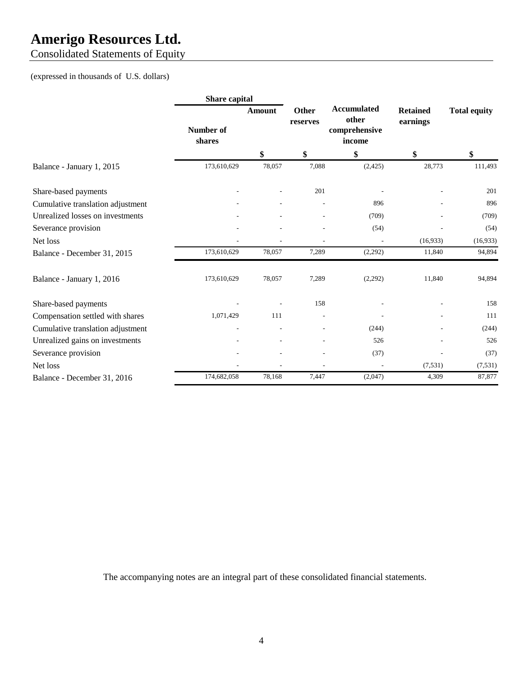Consolidated Statements of Equity

## (expressed in thousands of U.S. dollars)

|                                   | Share capital       |               |                   |                                                 |                             |                     |
|-----------------------------------|---------------------|---------------|-------------------|-------------------------------------------------|-----------------------------|---------------------|
|                                   | Number of<br>shares | <b>Amount</b> | Other<br>reserves | Accumulated<br>other<br>comprehensive<br>income | <b>Retained</b><br>earnings | <b>Total equity</b> |
|                                   |                     | \$            | \$                | \$                                              | \$                          | \$                  |
| Balance - January 1, 2015         | 173,610,629         | 78,057        | 7,088             | (2, 425)                                        | 28,773                      | 111,493             |
| Share-based payments              |                     |               | 201               |                                                 |                             | 201                 |
| Cumulative translation adjustment |                     |               |                   | 896                                             |                             | 896                 |
| Unrealized losses on investments  |                     |               |                   | (709)                                           |                             | (709)               |
| Severance provision               |                     |               |                   | (54)                                            |                             | (54)                |
| Net loss                          |                     |               |                   |                                                 | (16,933)                    | (16,933)            |
| Balance - December 31, 2015       | 173,610,629         | 78,057        | 7,289             | (2,292)                                         | 11,840                      | 94,894              |
| Balance - January 1, 2016         | 173,610,629         | 78,057        | 7,289             | (2,292)                                         | 11,840                      | 94,894              |
| Share-based payments              |                     |               | 158               |                                                 |                             | 158                 |
| Compensation settled with shares  | 1,071,429           | 111           |                   |                                                 |                             | 111                 |
| Cumulative translation adjustment |                     |               |                   | (244)                                           |                             | (244)               |
| Unrealized gains on investments   |                     |               |                   | 526                                             |                             | 526                 |
| Severance provision               |                     |               |                   | (37)                                            |                             | (37)                |
| Net loss                          |                     |               |                   |                                                 | (7,531)                     | (7,531)             |
| Balance - December 31, 2016       | 174,682,058         | 78,168        | 7,447             | (2,047)                                         | 4,309                       | 87,877              |

The accompanying notes are an integral part of these consolidated financial statements.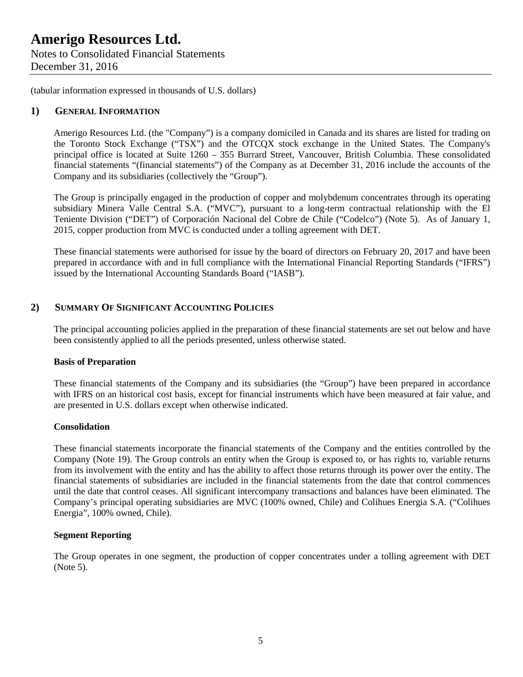Notes to Consolidated Financial Statements December 31, 2016

(tabular information expressed in thousands of U.S. dollars)

## **1) GENERAL INFORMATION**

Amerigo Resources Ltd. (the "Company") is a company domiciled in Canada and its shares are listed for trading on the Toronto Stock Exchange ("TSX") and the OTCQX stock exchange in the United States. The Company's principal office is located at Suite 1260 – 355 Burrard Street, Vancouver, British Columbia. These consolidated financial statements "(financial statements") of the Company as at December 31, 2016 include the accounts of the Company and its subsidiaries (collectively the "Group").

The Group is principally engaged in the production of copper and molybdenum concentrates through its operating subsidiary Minera Valle Central S.A. ("MVC"), pursuant to a long-term contractual relationship with the El Teniente Division ("DET") of Corporación Nacional del Cobre de Chile ("Codelco") (Note 5). As of January 1, 2015, copper production from MVC is conducted under a tolling agreement with DET.

These financial statements were authorised for issue by the board of directors on February 20, 2017 and have been prepared in accordance with and in full compliance with the International Financial Reporting Standards ("IFRS") issued by the International Accounting Standards Board ("IASB").

## **2) SUMMARY OF SIGNIFICANT ACCOUNTING POLICIES**

The principal accounting policies applied in the preparation of these financial statements are set out below and have been consistently applied to all the periods presented, unless otherwise stated.

### **Basis of Preparation**

These financial statements of the Company and its subsidiaries (the "Group") have been prepared in accordance with IFRS on an historical cost basis, except for financial instruments which have been measured at fair value, and are presented in U.S. dollars except when otherwise indicated.

#### **Consolidation**

These financial statements incorporate the financial statements of the Company and the entities controlled by the Company (Note 19). The Group controls an entity when the Group is exposed to, or has rights to, variable returns from its involvement with the entity and has the ability to affect those returns through its power over the entity. The financial statements of subsidiaries are included in the financial statements from the date that control commences until the date that control ceases. All significant intercompany transactions and balances have been eliminated. The Company's principal operating subsidiaries are MVC (100% owned, Chile) and Colihues Energia S.A. ("Colihues Energia", 100% owned, Chile).

### **Segment Reporting**

The Group operates in one segment, the production of copper concentrates under a tolling agreement with DET (Note 5).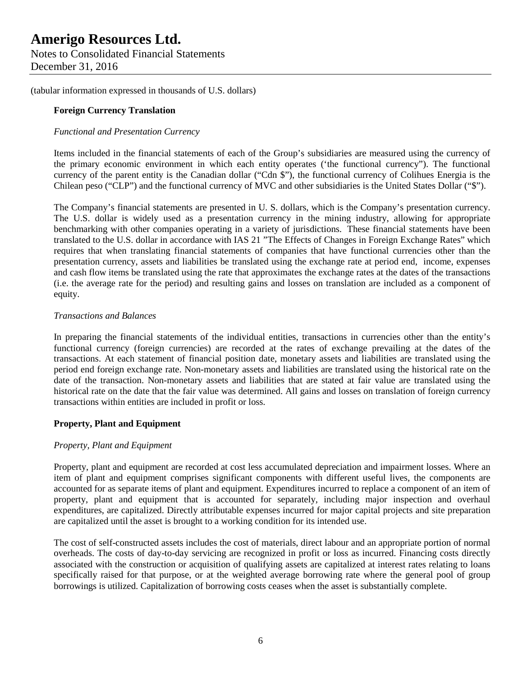Notes to Consolidated Financial Statements December 31, 2016

(tabular information expressed in thousands of U.S. dollars)

## **Foreign Currency Translation**

## *Functional and Presentation Currency*

Items included in the financial statements of each of the Group's subsidiaries are measured using the currency of the primary economic environment in which each entity operates ('the functional currency"). The functional currency of the parent entity is the Canadian dollar ("Cdn \$"), the functional currency of Colihues Energia is the Chilean peso ("CLP") and the functional currency of MVC and other subsidiaries is the United States Dollar ("\$").

The Company's financial statements are presented in U. S. dollars, which is the Company's presentation currency. The U.S. dollar is widely used as a presentation currency in the mining industry, allowing for appropriate benchmarking with other companies operating in a variety of jurisdictions. These financial statements have been translated to the U.S. dollar in accordance with IAS 21 "The Effects of Changes in Foreign Exchange Rates" which requires that when translating financial statements of companies that have functional currencies other than the presentation currency, assets and liabilities be translated using the exchange rate at period end, income, expenses and cash flow items be translated using the rate that approximates the exchange rates at the dates of the transactions (i.e. the average rate for the period) and resulting gains and losses on translation are included as a component of equity.

### *Transactions and Balances*

In preparing the financial statements of the individual entities, transactions in currencies other than the entity's functional currency (foreign currencies) are recorded at the rates of exchange prevailing at the dates of the transactions. At each statement of financial position date, monetary assets and liabilities are translated using the period end foreign exchange rate. Non-monetary assets and liabilities are translated using the historical rate on the date of the transaction. Non-monetary assets and liabilities that are stated at fair value are translated using the historical rate on the date that the fair value was determined. All gains and losses on translation of foreign currency transactions within entities are included in profit or loss.

### **Property, Plant and Equipment**

### *Property, Plant and Equipment*

Property, plant and equipment are recorded at cost less accumulated depreciation and impairment losses. Where an item of plant and equipment comprises significant components with different useful lives, the components are accounted for as separate items of plant and equipment. Expenditures incurred to replace a component of an item of property, plant and equipment that is accounted for separately, including major inspection and overhaul expenditures, are capitalized. Directly attributable expenses incurred for major capital projects and site preparation are capitalized until the asset is brought to a working condition for its intended use.

The cost of self-constructed assets includes the cost of materials, direct labour and an appropriate portion of normal overheads. The costs of day-to-day servicing are recognized in profit or loss as incurred. Financing costs directly associated with the construction or acquisition of qualifying assets are capitalized at interest rates relating to loans specifically raised for that purpose, or at the weighted average borrowing rate where the general pool of group borrowings is utilized. Capitalization of borrowing costs ceases when the asset is substantially complete.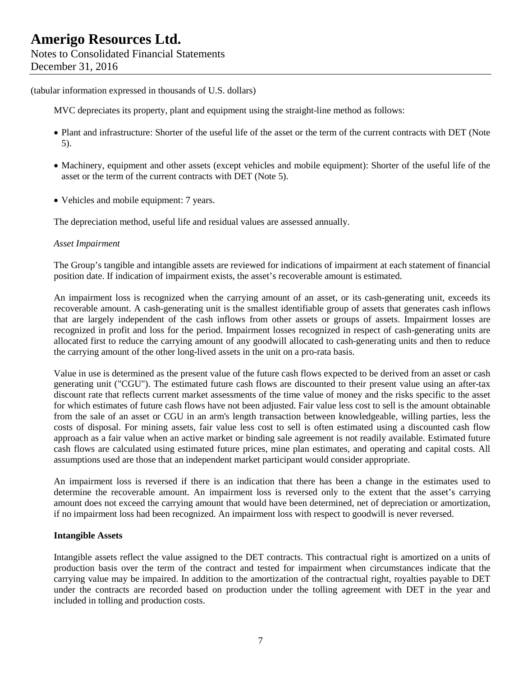MVC depreciates its property, plant and equipment using the straight-line method as follows:

- Plant and infrastructure: Shorter of the useful life of the asset or the term of the current contracts with DET (Note 5).
- Machinery, equipment and other assets (except vehicles and mobile equipment): Shorter of the useful life of the asset or the term of the current contracts with DET (Note 5).
- Vehicles and mobile equipment: 7 years.

The depreciation method, useful life and residual values are assessed annually.

#### *Asset Impairment*

The Group's tangible and intangible assets are reviewed for indications of impairment at each statement of financial position date. If indication of impairment exists, the asset's recoverable amount is estimated.

An impairment loss is recognized when the carrying amount of an asset, or its cash-generating unit, exceeds its recoverable amount. A cash-generating unit is the smallest identifiable group of assets that generates cash inflows that are largely independent of the cash inflows from other assets or groups of assets. Impairment losses are recognized in profit and loss for the period. Impairment losses recognized in respect of cash-generating units are allocated first to reduce the carrying amount of any goodwill allocated to cash-generating units and then to reduce the carrying amount of the other long-lived assets in the unit on a pro-rata basis.

Value in use is determined as the present value of the future cash flows expected to be derived from an asset or cash generating unit ("CGU"). The estimated future cash flows are discounted to their present value using an after-tax discount rate that reflects current market assessments of the time value of money and the risks specific to the asset for which estimates of future cash flows have not been adjusted. Fair value less cost to sell is the amount obtainable from the sale of an asset or CGU in an arm's length transaction between knowledgeable, willing parties, less the costs of disposal. For mining assets, fair value less cost to sell is often estimated using a discounted cash flow approach as a fair value when an active market or binding sale agreement is not readily available. Estimated future cash flows are calculated using estimated future prices, mine plan estimates, and operating and capital costs. All assumptions used are those that an independent market participant would consider appropriate.

An impairment loss is reversed if there is an indication that there has been a change in the estimates used to determine the recoverable amount. An impairment loss is reversed only to the extent that the asset's carrying amount does not exceed the carrying amount that would have been determined, net of depreciation or amortization, if no impairment loss had been recognized. An impairment loss with respect to goodwill is never reversed.

### **Intangible Assets**

Intangible assets reflect the value assigned to the DET contracts. This contractual right is amortized on a units of production basis over the term of the contract and tested for impairment when circumstances indicate that the carrying value may be impaired. In addition to the amortization of the contractual right, royalties payable to DET under the contracts are recorded based on production under the tolling agreement with DET in the year and included in tolling and production costs.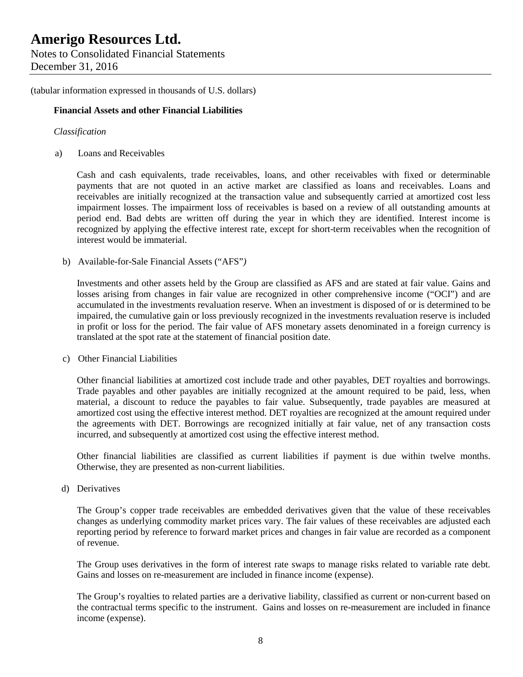## **Financial Assets and other Financial Liabilities**

#### *Classification*

a) Loans and Receivables

Cash and cash equivalents, trade receivables, loans, and other receivables with fixed or determinable payments that are not quoted in an active market are classified as loans and receivables. Loans and receivables are initially recognized at the transaction value and subsequently carried at amortized cost less impairment losses. The impairment loss of receivables is based on a review of all outstanding amounts at period end. Bad debts are written off during the year in which they are identified. Interest income is recognized by applying the effective interest rate, except for short-term receivables when the recognition of interest would be immaterial.

b) Available-for-Sale Financial Assets ("AFS"*)*

Investments and other assets held by the Group are classified as AFS and are stated at fair value. Gains and losses arising from changes in fair value are recognized in other comprehensive income ("OCI") and are accumulated in the investments revaluation reserve. When an investment is disposed of or is determined to be impaired, the cumulative gain or loss previously recognized in the investments revaluation reserve is included in profit or loss for the period. The fair value of AFS monetary assets denominated in a foreign currency is translated at the spot rate at the statement of financial position date.

c) Other Financial Liabilities

Other financial liabilities at amortized cost include trade and other payables, DET royalties and borrowings. Trade payables and other payables are initially recognized at the amount required to be paid, less, when material, a discount to reduce the payables to fair value. Subsequently, trade payables are measured at amortized cost using the effective interest method. DET royalties are recognized at the amount required under the agreements with DET. Borrowings are recognized initially at fair value, net of any transaction costs incurred, and subsequently at amortized cost using the effective interest method.

Other financial liabilities are classified as current liabilities if payment is due within twelve months. Otherwise, they are presented as non-current liabilities.

d) Derivatives

The Group's copper trade receivables are embedded derivatives given that the value of these receivables changes as underlying commodity market prices vary. The fair values of these receivables are adjusted each reporting period by reference to forward market prices and changes in fair value are recorded as a component of revenue.

The Group uses derivatives in the form of interest rate swaps to manage risks related to variable rate debt. Gains and losses on re-measurement are included in finance income (expense).

The Group's royalties to related parties are a derivative liability, classified as current or non-current based on the contractual terms specific to the instrument. Gains and losses on re-measurement are included in finance income (expense).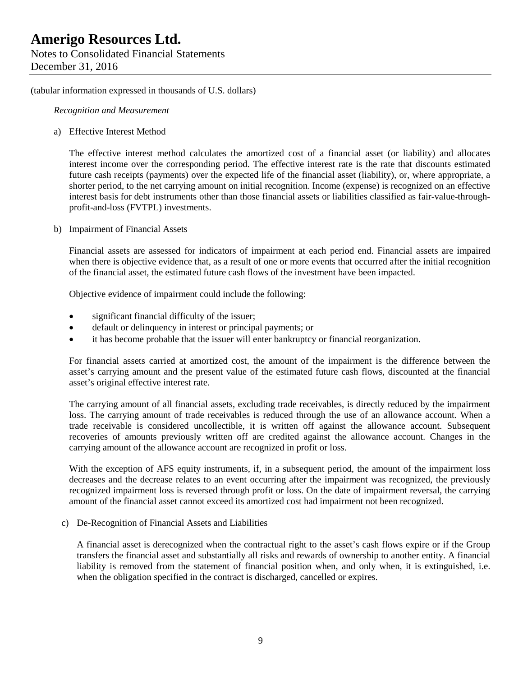Notes to Consolidated Financial Statements December 31, 2016

#### (tabular information expressed in thousands of U.S. dollars)

#### *Recognition and Measurement*

### a) Effective Interest Method

The effective interest method calculates the amortized cost of a financial asset (or liability) and allocates interest income over the corresponding period. The effective interest rate is the rate that discounts estimated future cash receipts (payments) over the expected life of the financial asset (liability), or, where appropriate, a shorter period, to the net carrying amount on initial recognition. Income (expense) is recognized on an effective interest basis for debt instruments other than those financial assets or liabilities classified as fair-value-throughprofit-and-loss (FVTPL) investments.

#### b) Impairment of Financial Assets

Financial assets are assessed for indicators of impairment at each period end. Financial assets are impaired when there is objective evidence that, as a result of one or more events that occurred after the initial recognition of the financial asset, the estimated future cash flows of the investment have been impacted.

Objective evidence of impairment could include the following:

- significant financial difficulty of the issuer;
- default or delinquency in interest or principal payments; or
- it has become probable that the issuer will enter bankruptcy or financial reorganization.

For financial assets carried at amortized cost, the amount of the impairment is the difference between the asset's carrying amount and the present value of the estimated future cash flows, discounted at the financial asset's original effective interest rate.

The carrying amount of all financial assets, excluding trade receivables, is directly reduced by the impairment loss. The carrying amount of trade receivables is reduced through the use of an allowance account. When a trade receivable is considered uncollectible, it is written off against the allowance account. Subsequent recoveries of amounts previously written off are credited against the allowance account. Changes in the carrying amount of the allowance account are recognized in profit or loss.

With the exception of AFS equity instruments, if, in a subsequent period, the amount of the impairment loss decreases and the decrease relates to an event occurring after the impairment was recognized, the previously recognized impairment loss is reversed through profit or loss. On the date of impairment reversal, the carrying amount of the financial asset cannot exceed its amortized cost had impairment not been recognized.

c) De-Recognition of Financial Assets and Liabilities

A financial asset is derecognized when the contractual right to the asset's cash flows expire or if the Group transfers the financial asset and substantially all risks and rewards of ownership to another entity. A financial liability is removed from the statement of financial position when, and only when, it is extinguished, i.e. when the obligation specified in the contract is discharged, cancelled or expires.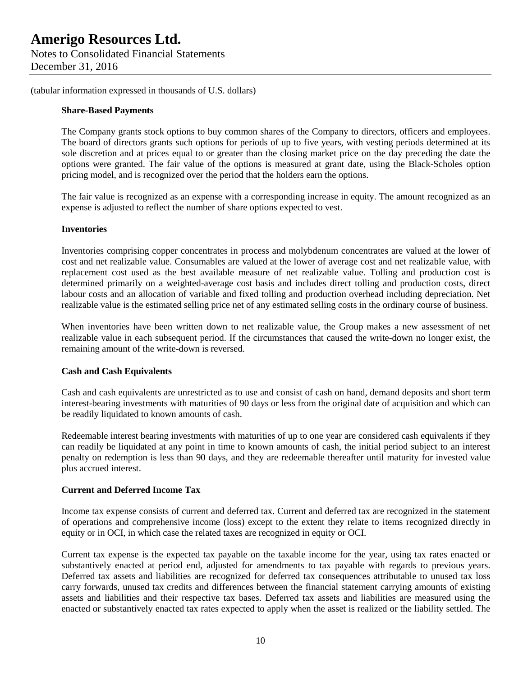Notes to Consolidated Financial Statements December 31, 2016

(tabular information expressed in thousands of U.S. dollars)

### **Share-Based Payments**

The Company grants stock options to buy common shares of the Company to directors, officers and employees. The board of directors grants such options for periods of up to five years, with vesting periods determined at its sole discretion and at prices equal to or greater than the closing market price on the day preceding the date the options were granted. The fair value of the options is measured at grant date, using the Black-Scholes option pricing model, and is recognized over the period that the holders earn the options.

The fair value is recognized as an expense with a corresponding increase in equity. The amount recognized as an expense is adjusted to reflect the number of share options expected to vest.

#### **Inventories**

Inventories comprising copper concentrates in process and molybdenum concentrates are valued at the lower of cost and net realizable value. Consumables are valued at the lower of average cost and net realizable value, with replacement cost used as the best available measure of net realizable value. Tolling and production cost is determined primarily on a weighted-average cost basis and includes direct tolling and production costs, direct labour costs and an allocation of variable and fixed tolling and production overhead including depreciation. Net realizable value is the estimated selling price net of any estimated selling costs in the ordinary course of business.

When inventories have been written down to net realizable value, the Group makes a new assessment of net realizable value in each subsequent period. If the circumstances that caused the write-down no longer exist, the remaining amount of the write-down is reversed.

### **Cash and Cash Equivalents**

Cash and cash equivalents are unrestricted as to use and consist of cash on hand, demand deposits and short term interest-bearing investments with maturities of 90 days or less from the original date of acquisition and which can be readily liquidated to known amounts of cash.

Redeemable interest bearing investments with maturities of up to one year are considered cash equivalents if they can readily be liquidated at any point in time to known amounts of cash, the initial period subject to an interest penalty on redemption is less than 90 days, and they are redeemable thereafter until maturity for invested value plus accrued interest.

### **Current and Deferred Income Tax**

Income tax expense consists of current and deferred tax. Current and deferred tax are recognized in the statement of operations and comprehensive income (loss) except to the extent they relate to items recognized directly in equity or in OCI, in which case the related taxes are recognized in equity or OCI.

Current tax expense is the expected tax payable on the taxable income for the year, using tax rates enacted or substantively enacted at period end, adjusted for amendments to tax payable with regards to previous years. Deferred tax assets and liabilities are recognized for deferred tax consequences attributable to unused tax loss carry forwards, unused tax credits and differences between the financial statement carrying amounts of existing assets and liabilities and their respective tax bases. Deferred tax assets and liabilities are measured using the enacted or substantively enacted tax rates expected to apply when the asset is realized or the liability settled. The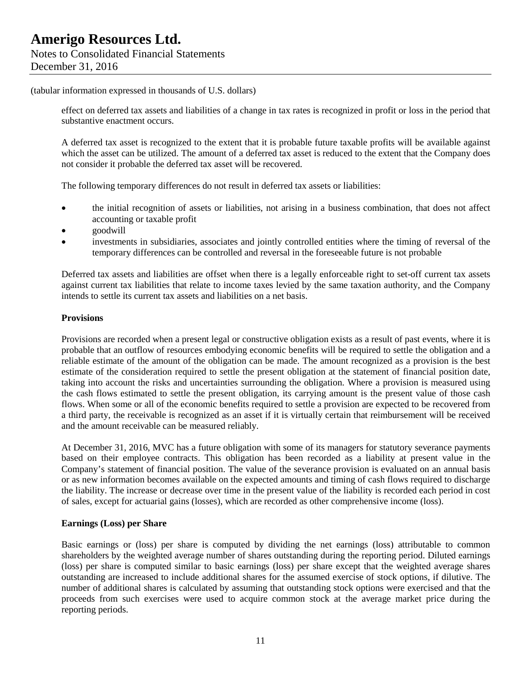effect on deferred tax assets and liabilities of a change in tax rates is recognized in profit or loss in the period that substantive enactment occurs.

A deferred tax asset is recognized to the extent that it is probable future taxable profits will be available against which the asset can be utilized. The amount of a deferred tax asset is reduced to the extent that the Company does not consider it probable the deferred tax asset will be recovered.

The following temporary differences do not result in deferred tax assets or liabilities:

- the initial recognition of assets or liabilities, not arising in a business combination, that does not affect accounting or taxable profit
- goodwill
- investments in subsidiaries, associates and jointly controlled entities where the timing of reversal of the temporary differences can be controlled and reversal in the foreseeable future is not probable

Deferred tax assets and liabilities are offset when there is a legally enforceable right to set-off current tax assets against current tax liabilities that relate to income taxes levied by the same taxation authority, and the Company intends to settle its current tax assets and liabilities on a net basis.

### **Provisions**

Provisions are recorded when a present legal or constructive obligation exists as a result of past events, where it is probable that an outflow of resources embodying economic benefits will be required to settle the obligation and a reliable estimate of the amount of the obligation can be made. The amount recognized as a provision is the best estimate of the consideration required to settle the present obligation at the statement of financial position date, taking into account the risks and uncertainties surrounding the obligation. Where a provision is measured using the cash flows estimated to settle the present obligation, its carrying amount is the present value of those cash flows. When some or all of the economic benefits required to settle a provision are expected to be recovered from a third party, the receivable is recognized as an asset if it is virtually certain that reimbursement will be received and the amount receivable can be measured reliably.

At December 31, 2016, MVC has a future obligation with some of its managers for statutory severance payments based on their employee contracts. This obligation has been recorded as a liability at present value in the Company's statement of financial position. The value of the severance provision is evaluated on an annual basis or as new information becomes available on the expected amounts and timing of cash flows required to discharge the liability. The increase or decrease over time in the present value of the liability is recorded each period in cost of sales, except for actuarial gains (losses), which are recorded as other comprehensive income (loss).

#### **Earnings (Loss) per Share**

Basic earnings or (loss) per share is computed by dividing the net earnings (loss) attributable to common shareholders by the weighted average number of shares outstanding during the reporting period. Diluted earnings (loss) per share is computed similar to basic earnings (loss) per share except that the weighted average shares outstanding are increased to include additional shares for the assumed exercise of stock options, if dilutive. The number of additional shares is calculated by assuming that outstanding stock options were exercised and that the proceeds from such exercises were used to acquire common stock at the average market price during the reporting periods.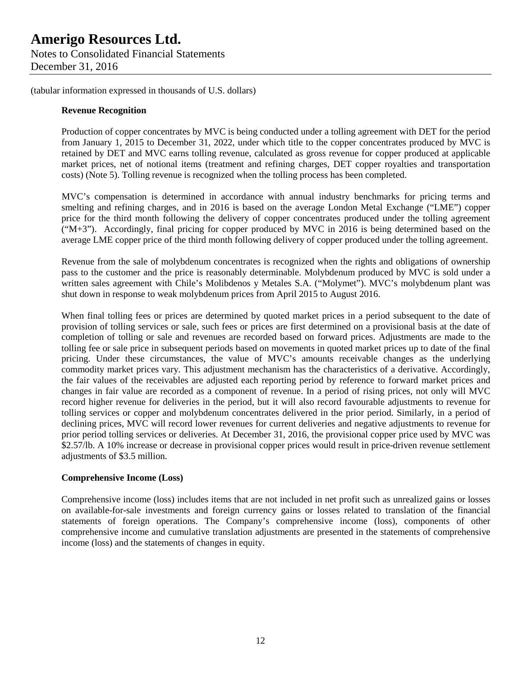Notes to Consolidated Financial Statements December 31, 2016

(tabular information expressed in thousands of U.S. dollars)

## **Revenue Recognition**

Production of copper concentrates by MVC is being conducted under a tolling agreement with DET for the period from January 1, 2015 to December 31, 2022, under which title to the copper concentrates produced by MVC is retained by DET and MVC earns tolling revenue, calculated as gross revenue for copper produced at applicable market prices, net of notional items (treatment and refining charges, DET copper royalties and transportation costs) (Note 5). Tolling revenue is recognized when the tolling process has been completed.

MVC's compensation is determined in accordance with annual industry benchmarks for pricing terms and smelting and refining charges, and in 2016 is based on the average London Metal Exchange ("LME") copper price for the third month following the delivery of copper concentrates produced under the tolling agreement ("M+3"). Accordingly, final pricing for copper produced by MVC in 2016 is being determined based on the average LME copper price of the third month following delivery of copper produced under the tolling agreement.

Revenue from the sale of molybdenum concentrates is recognized when the rights and obligations of ownership pass to the customer and the price is reasonably determinable. Molybdenum produced by MVC is sold under a written sales agreement with Chile's Molibdenos y Metales S.A. ("Molymet"). MVC's molybdenum plant was shut down in response to weak molybdenum prices from April 2015 to August 2016.

When final tolling fees or prices are determined by quoted market prices in a period subsequent to the date of provision of tolling services or sale, such fees or prices are first determined on a provisional basis at the date of completion of tolling or sale and revenues are recorded based on forward prices. Adjustments are made to the tolling fee or sale price in subsequent periods based on movements in quoted market prices up to date of the final pricing. Under these circumstances, the value of MVC's amounts receivable changes as the underlying commodity market prices vary. This adjustment mechanism has the characteristics of a derivative. Accordingly, the fair values of the receivables are adjusted each reporting period by reference to forward market prices and changes in fair value are recorded as a component of revenue. In a period of rising prices, not only will MVC record higher revenue for deliveries in the period, but it will also record favourable adjustments to revenue for tolling services or copper and molybdenum concentrates delivered in the prior period. Similarly, in a period of declining prices, MVC will record lower revenues for current deliveries and negative adjustments to revenue for prior period tolling services or deliveries. At December 31, 2016, the provisional copper price used by MVC was \$2.57/lb. A 10% increase or decrease in provisional copper prices would result in price-driven revenue settlement adjustments of \$3.5 million.

### **Comprehensive Income (Loss)**

Comprehensive income (loss) includes items that are not included in net profit such as unrealized gains or losses on available-for-sale investments and foreign currency gains or losses related to translation of the financial statements of foreign operations. The Company's comprehensive income (loss), components of other comprehensive income and cumulative translation adjustments are presented in the statements of comprehensive income (loss) and the statements of changes in equity.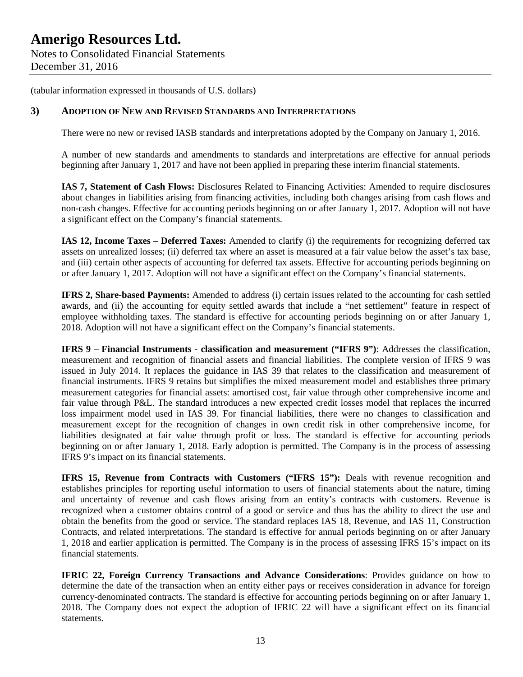### **3) ADOPTION OF NEW AND REVISED STANDARDS AND INTERPRETATIONS**

There were no new or revised IASB standards and interpretations adopted by the Company on January 1, 2016.

A number of new standards and amendments to standards and interpretations are effective for annual periods beginning after January 1, 2017 and have not been applied in preparing these interim financial statements.

**IAS 7, Statement of Cash Flows:** Disclosures Related to Financing Activities: Amended to require disclosures about changes in liabilities arising from financing activities, including both changes arising from cash flows and non-cash changes. Effective for accounting periods beginning on or after January 1, 2017. Adoption will not have a significant effect on the Company's financial statements.

**IAS 12, Income Taxes – Deferred Taxes:** Amended to clarify (i) the requirements for recognizing deferred tax assets on unrealized losses; (ii) deferred tax where an asset is measured at a fair value below the asset's tax base, and (iii) certain other aspects of accounting for deferred tax assets. Effective for accounting periods beginning on or after January 1, 2017. Adoption will not have a significant effect on the Company's financial statements.

**IFRS 2, Share-based Payments:** Amended to address (i) certain issues related to the accounting for cash settled awards, and (ii) the accounting for equity settled awards that include a "net settlement" feature in respect of employee withholding taxes. The standard is effective for accounting periods beginning on or after January 1, 2018. Adoption will not have a significant effect on the Company's financial statements.

**IFRS 9 – Financial Instruments - classification and measurement ("IFRS 9")**: Addresses the classification, measurement and recognition of financial assets and financial liabilities. The complete version of IFRS 9 was issued in July 2014. It replaces the guidance in IAS 39 that relates to the classification and measurement of financial instruments. IFRS 9 retains but simplifies the mixed measurement model and establishes three primary measurement categories for financial assets: amortised cost, fair value through other comprehensive income and fair value through P&L. The standard introduces a new expected credit losses model that replaces the incurred loss impairment model used in IAS 39. For financial liabilities, there were no changes to classification and measurement except for the recognition of changes in own credit risk in other comprehensive income, for liabilities designated at fair value through profit or loss. The standard is effective for accounting periods beginning on or after January 1, 2018. Early adoption is permitted. The Company is in the process of assessing IFRS 9's impact on its financial statements.

**IFRS 15, Revenue from Contracts with Customers ("IFRS 15"):** Deals with revenue recognition and establishes principles for reporting useful information to users of financial statements about the nature, timing and uncertainty of revenue and cash flows arising from an entity's contracts with customers. Revenue is recognized when a customer obtains control of a good or service and thus has the ability to direct the use and obtain the benefits from the good or service. The standard replaces IAS 18, Revenue, and IAS 11, Construction Contracts, and related interpretations. The standard is effective for annual periods beginning on or after January 1, 2018 and earlier application is permitted. The Company is in the process of assessing IFRS 15's impact on its financial statements.

**IFRIC 22, Foreign Currency Transactions and Advance Considerations**: Provides guidance on how to determine the date of the transaction when an entity either pays or receives consideration in advance for foreign currency-denominated contracts. The standard is effective for accounting periods beginning on or after January 1, 2018. The Company does not expect the adoption of IFRIC 22 will have a significant effect on its financial statements.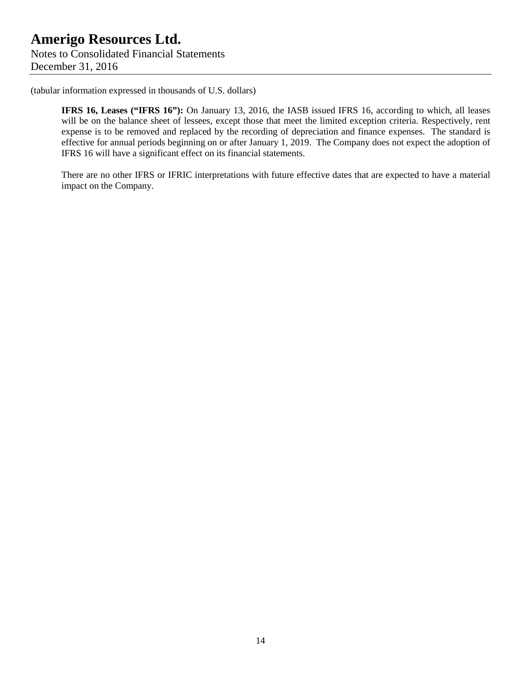**IFRS 16, Leases ("IFRS 16"):** On January 13, 2016, the IASB issued IFRS 16, according to which, all leases will be on the balance sheet of lessees, except those that meet the limited exception criteria. Respectively, rent expense is to be removed and replaced by the recording of depreciation and finance expenses. The standard is effective for annual periods beginning on or after January 1, 2019. The Company does not expect the adoption of IFRS 16 will have a significant effect on its financial statements.

There are no other IFRS or IFRIC interpretations with future effective dates that are expected to have a material impact on the Company.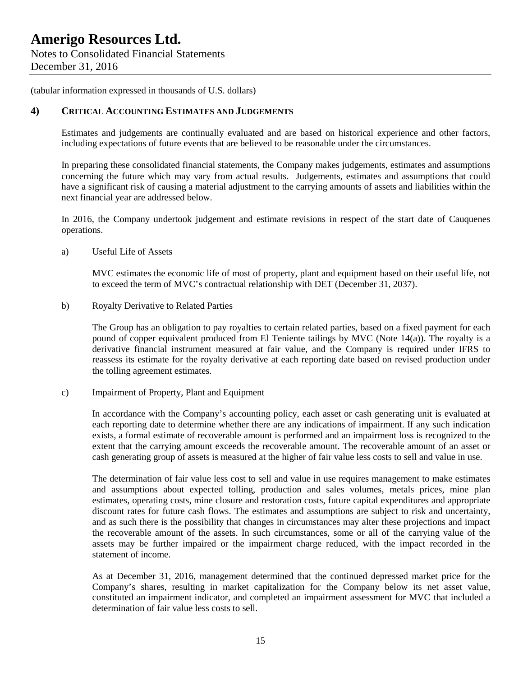## **Amerigo Resources Ltd.** Notes to Consolidated Financial Statements December 31, 2016

(tabular information expressed in thousands of U.S. dollars)

#### **4) CRITICAL ACCOUNTING ESTIMATES AND JUDGEMENTS**

Estimates and judgements are continually evaluated and are based on historical experience and other factors, including expectations of future events that are believed to be reasonable under the circumstances.

In preparing these consolidated financial statements, the Company makes judgements, estimates and assumptions concerning the future which may vary from actual results. Judgements, estimates and assumptions that could have a significant risk of causing a material adjustment to the carrying amounts of assets and liabilities within the next financial year are addressed below.

In 2016, the Company undertook judgement and estimate revisions in respect of the start date of Cauquenes operations.

a) Useful Life of Assets

MVC estimates the economic life of most of property, plant and equipment based on their useful life, not to exceed the term of MVC's contractual relationship with DET (December 31, 2037).

b) Royalty Derivative to Related Parties

The Group has an obligation to pay royalties to certain related parties, based on a fixed payment for each pound of copper equivalent produced from El Teniente tailings by MVC (Note 14(a)). The royalty is a derivative financial instrument measured at fair value, and the Company is required under IFRS to reassess its estimate for the royalty derivative at each reporting date based on revised production under the tolling agreement estimates.

c) Impairment of Property, Plant and Equipment

In accordance with the Company's accounting policy, each asset or cash generating unit is evaluated at each reporting date to determine whether there are any indications of impairment. If any such indication exists, a formal estimate of recoverable amount is performed and an impairment loss is recognized to the extent that the carrying amount exceeds the recoverable amount. The recoverable amount of an asset or cash generating group of assets is measured at the higher of fair value less costs to sell and value in use.

The determination of fair value less cost to sell and value in use requires management to make estimates and assumptions about expected tolling, production and sales volumes, metals prices, mine plan estimates, operating costs, mine closure and restoration costs, future capital expenditures and appropriate discount rates for future cash flows. The estimates and assumptions are subject to risk and uncertainty, and as such there is the possibility that changes in circumstances may alter these projections and impact the recoverable amount of the assets. In such circumstances, some or all of the carrying value of the assets may be further impaired or the impairment charge reduced, with the impact recorded in the statement of income.

As at December 31, 2016, management determined that the continued depressed market price for the Company's shares, resulting in market capitalization for the Company below its net asset value, constituted an impairment indicator, and completed an impairment assessment for MVC that included a determination of fair value less costs to sell.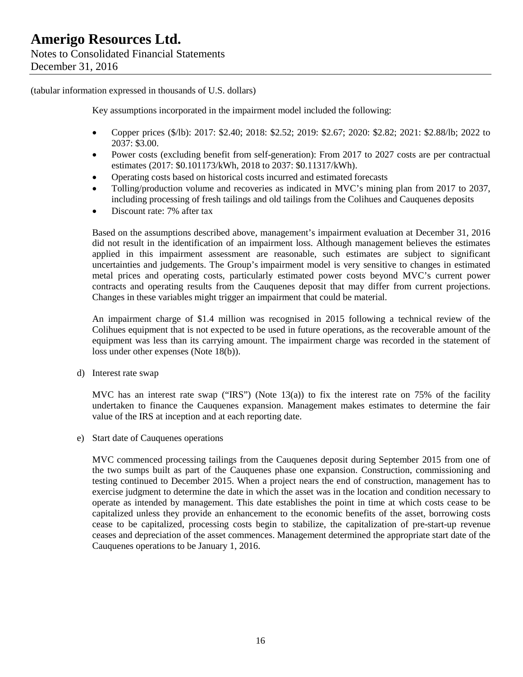Key assumptions incorporated in the impairment model included the following:

- Copper prices (\$/lb): 2017: \$2.40; 2018: \$2.52; 2019: \$2.67; 2020: \$2.82; 2021: \$2.88/lb; 2022 to 2037: \$3.00.
- Power costs (excluding benefit from self-generation): From 2017 to 2027 costs are per contractual estimates (2017: \$0.101173/kWh, 2018 to 2037: \$0.11317/kWh).
- Operating costs based on historical costs incurred and estimated forecasts
- Tolling/production volume and recoveries as indicated in MVC's mining plan from 2017 to 2037, including processing of fresh tailings and old tailings from the Colihues and Cauquenes deposits
- Discount rate: 7% after tax

Based on the assumptions described above, management's impairment evaluation at December 31, 2016 did not result in the identification of an impairment loss. Although management believes the estimates applied in this impairment assessment are reasonable, such estimates are subject to significant uncertainties and judgements. The Group's impairment model is very sensitive to changes in estimated metal prices and operating costs, particularly estimated power costs beyond MVC's current power contracts and operating results from the Cauquenes deposit that may differ from current projections. Changes in these variables might trigger an impairment that could be material.

An impairment charge of \$1.4 million was recognised in 2015 following a technical review of the Colihues equipment that is not expected to be used in future operations, as the recoverable amount of the equipment was less than its carrying amount. The impairment charge was recorded in the statement of loss under other expenses (Note 18(b)).

d) Interest rate swap

MVC has an interest rate swap ("IRS") (Note 13(a)) to fix the interest rate on 75% of the facility undertaken to finance the Cauquenes expansion. Management makes estimates to determine the fair value of the IRS at inception and at each reporting date.

e) Start date of Cauquenes operations

MVC commenced processing tailings from the Cauquenes deposit during September 2015 from one of the two sumps built as part of the Cauquenes phase one expansion. Construction, commissioning and testing continued to December 2015. When a project nears the end of construction, management has to exercise judgment to determine the date in which the asset was in the location and condition necessary to operate as intended by management. This date establishes the point in time at which costs cease to be capitalized unless they provide an enhancement to the economic benefits of the asset, borrowing costs cease to be capitalized, processing costs begin to stabilize, the capitalization of pre-start-up revenue ceases and depreciation of the asset commences. Management determined the appropriate start date of the Cauquenes operations to be January 1, 2016.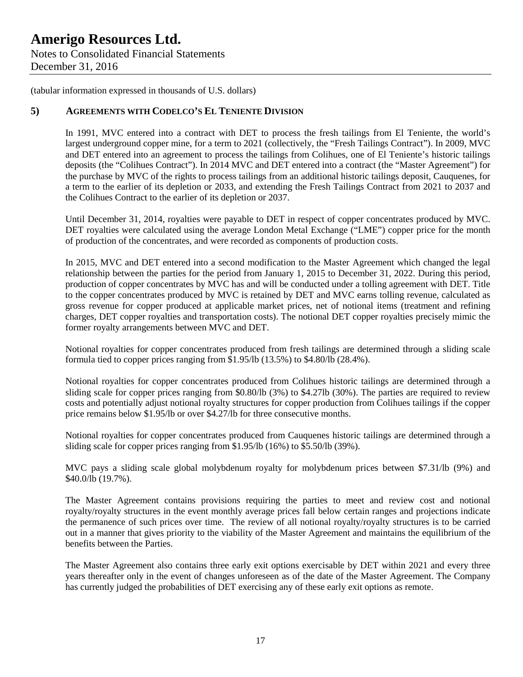## **Amerigo Resources Ltd.** Notes to Consolidated Financial Statements

December 31, 2016

(tabular information expressed in thousands of U.S. dollars)

## **5) AGREEMENTS WITH CODELCO'S EL TENIENTE DIVISION**

In 1991, MVC entered into a contract with DET to process the fresh tailings from El Teniente, the world's largest underground copper mine, for a term to 2021 (collectively, the "Fresh Tailings Contract"). In 2009, MVC and DET entered into an agreement to process the tailings from Colihues, one of El Teniente's historic tailings deposits (the "Colihues Contract"). In 2014 MVC and DET entered into a contract (the "Master Agreement") for the purchase by MVC of the rights to process tailings from an additional historic tailings deposit, Cauquenes, for a term to the earlier of its depletion or 2033, and extending the Fresh Tailings Contract from 2021 to 2037 and the Colihues Contract to the earlier of its depletion or 2037.

Until December 31, 2014, royalties were payable to DET in respect of copper concentrates produced by MVC. DET royalties were calculated using the average London Metal Exchange ("LME") copper price for the month of production of the concentrates, and were recorded as components of production costs.

In 2015, MVC and DET entered into a second modification to the Master Agreement which changed the legal relationship between the parties for the period from January 1, 2015 to December 31, 2022. During this period, production of copper concentrates by MVC has and will be conducted under a tolling agreement with DET. Title to the copper concentrates produced by MVC is retained by DET and MVC earns tolling revenue, calculated as gross revenue for copper produced at applicable market prices, net of notional items (treatment and refining charges, DET copper royalties and transportation costs). The notional DET copper royalties precisely mimic the former royalty arrangements between MVC and DET.

Notional royalties for copper concentrates produced from fresh tailings are determined through a sliding scale formula tied to copper prices ranging from \$1.95/lb (13.5%) to \$4.80/lb (28.4%).

Notional royalties for copper concentrates produced from Colihues historic tailings are determined through a sliding scale for copper prices ranging from \$0.80/lb (3%) to \$4.27lb (30%). The parties are required to review costs and potentially adjust notional royalty structures for copper production from Colihues tailings if the copper price remains below \$1.95/lb or over \$4.27/lb for three consecutive months.

Notional royalties for copper concentrates produced from Cauquenes historic tailings are determined through a sliding scale for copper prices ranging from \$1.95/lb (16%) to \$5.50/lb (39%).

MVC pays a sliding scale global molybdenum royalty for molybdenum prices between \$7.31/lb (9%) and \$40.0/lb (19.7%).

The Master Agreement contains provisions requiring the parties to meet and review cost and notional royalty/royalty structures in the event monthly average prices fall below certain ranges and projections indicate the permanence of such prices over time. The review of all notional royalty/royalty structures is to be carried out in a manner that gives priority to the viability of the Master Agreement and maintains the equilibrium of the benefits between the Parties.

The Master Agreement also contains three early exit options exercisable by DET within 2021 and every three years thereafter only in the event of changes unforeseen as of the date of the Master Agreement. The Company has currently judged the probabilities of DET exercising any of these early exit options as remote.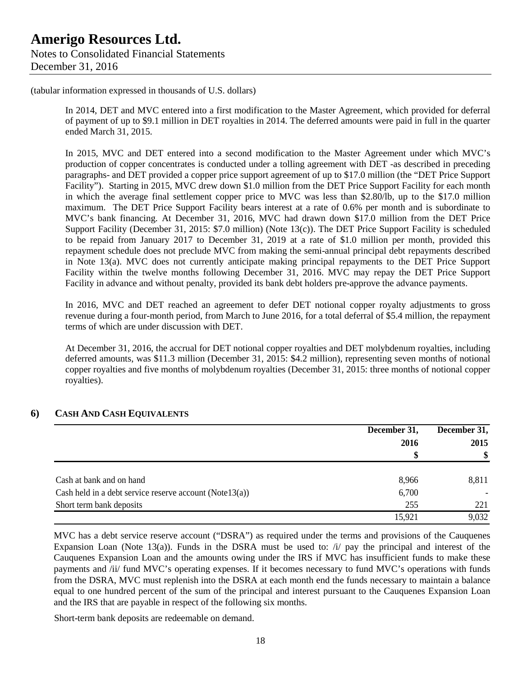In 2014, DET and MVC entered into a first modification to the Master Agreement, which provided for deferral of payment of up to \$9.1 million in DET royalties in 2014. The deferred amounts were paid in full in the quarter ended March 31, 2015.

In 2015, MVC and DET entered into a second modification to the Master Agreement under which MVC's production of copper concentrates is conducted under a tolling agreement with DET -as described in preceding paragraphs- and DET provided a copper price support agreement of up to \$17.0 million (the "DET Price Support Facility"). Starting in 2015, MVC drew down \$1.0 million from the DET Price Support Facility for each month in which the average final settlement copper price to MVC was less than \$2.80/lb, up to the \$17.0 million maximum. The DET Price Support Facility bears interest at a rate of 0.6% per month and is subordinate to MVC's bank financing. At December 31, 2016, MVC had drawn down \$17.0 million from the DET Price Support Facility (December 31, 2015: \$7.0 million) (Note 13(c)). The DET Price Support Facility is scheduled to be repaid from January 2017 to December 31, 2019 at a rate of \$1.0 million per month, provided this repayment schedule does not preclude MVC from making the semi-annual principal debt repayments described in Note 13(a). MVC does not currently anticipate making principal repayments to the DET Price Support Facility within the twelve months following December 31, 2016. MVC may repay the DET Price Support Facility in advance and without penalty, provided its bank debt holders pre-approve the advance payments.

In 2016, MVC and DET reached an agreement to defer DET notional copper royalty adjustments to gross revenue during a four-month period, from March to June 2016, for a total deferral of \$5.4 million, the repayment terms of which are under discussion with DET.

At December 31, 2016, the accrual for DET notional copper royalties and DET molybdenum royalties, including deferred amounts, was \$11.3 million (December 31, 2015: \$4.2 million), representing seven months of notional copper royalties and five months of molybdenum royalties (December 31, 2015: three months of notional copper royalties).

|                                                           | December 31, | December 31,<br>2015<br>\$ |
|-----------------------------------------------------------|--------------|----------------------------|
|                                                           | 2016<br>\$   |                            |
|                                                           |              |                            |
| Cash at bank and on hand                                  | 8,966        | 8,811                      |
| Cash held in a debt service reserve account $(Note13(a))$ | 6,700        |                            |
| Short term bank deposits                                  | 255          | 221                        |
|                                                           | 15,921       | 9,032                      |

## **6) CASH AND CASH EQUIVALENTS**

MVC has a debt service reserve account ("DSRA") as required under the terms and provisions of the Cauquenes Expansion Loan (Note 13(a)). Funds in the DSRA must be used to:  $\pi/$  pay the principal and interest of the Cauquenes Expansion Loan and the amounts owing under the IRS if MVC has insufficient funds to make these payments and /ii/ fund MVC's operating expenses. If it becomes necessary to fund MVC's operations with funds from the DSRA, MVC must replenish into the DSRA at each month end the funds necessary to maintain a balance equal to one hundred percent of the sum of the principal and interest pursuant to the Cauquenes Expansion Loan and the IRS that are payable in respect of the following six months.

Short-term bank deposits are redeemable on demand.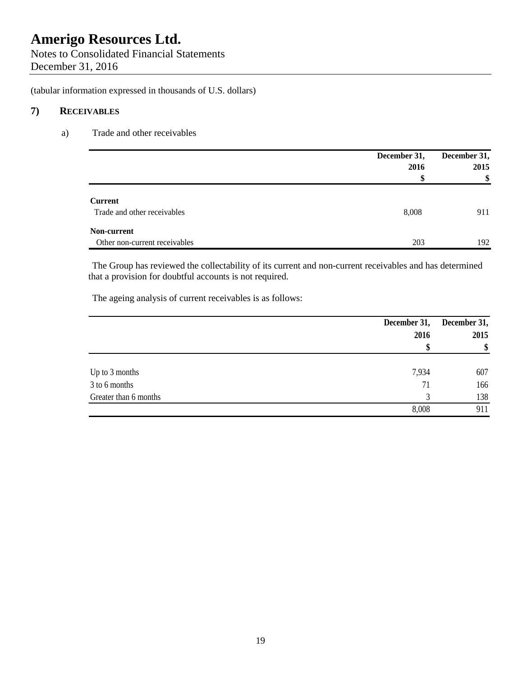Notes to Consolidated Financial Statements December 31, 2016

(tabular information expressed in thousands of U.S. dollars)

## **7) RECEIVABLES**

a) Trade and other receivables

|                               | December 31,<br>2016<br>\$ | December 31,<br>2015<br>\$ |
|-------------------------------|----------------------------|----------------------------|
| <b>Current</b>                |                            |                            |
| Trade and other receivables   | 8,008                      | 911                        |
| Non-current                   |                            |                            |
| Other non-current receivables | 203                        | 192                        |

The Group has reviewed the collectability of its current and non-current receivables and has determined that a provision for doubtful accounts is not required.

The ageing analysis of current receivables is as follows:

|                       | December 31, | December 31, |  |
|-----------------------|--------------|--------------|--|
|                       | 2016         | 2015         |  |
|                       |              | \$           |  |
| Up to 3 months        | 7,934        | 607          |  |
| 3 to 6 months         | 71           | 166          |  |
| Greater than 6 months | 3            | 138          |  |
|                       | 8,008        | 911          |  |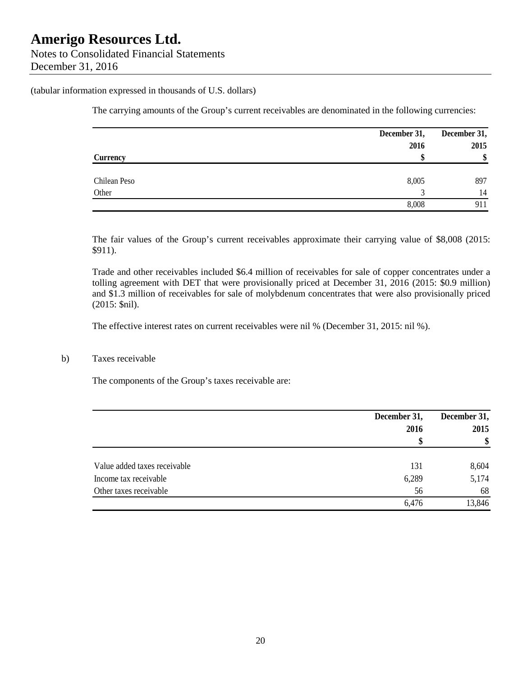The carrying amounts of the Group's current receivables are denominated in the following currencies:

|                 | December 31, | December 31, |
|-----------------|--------------|--------------|
|                 | 2016         | 2015         |
| <b>Currency</b> |              | \$           |
|                 |              |              |
| Chilean Peso    | 8,005        | 897          |
| Other           |              | 14           |
|                 | 8,008        | 911          |

The fair values of the Group's current receivables approximate their carrying value of \$8,008 (2015: \$911).

Trade and other receivables included \$6.4 million of receivables for sale of copper concentrates under a tolling agreement with DET that were provisionally priced at December 31, 2016 (2015: \$0.9 million) and \$1.3 million of receivables for sale of molybdenum concentrates that were also provisionally priced (2015: \$nil).

The effective interest rates on current receivables were nil % (December 31, 2015: nil %).

#### b) Taxes receivable

The components of the Group's taxes receivable are:

|                              | December 31, |        |
|------------------------------|--------------|--------|
|                              | 2016         | 2015   |
|                              | S            | \$     |
| Value added taxes receivable | 131          | 8,604  |
| Income tax receivable        | 6,289        | 5,174  |
| Other taxes receivable       | 56           | 68     |
|                              | 6,476        | 13,846 |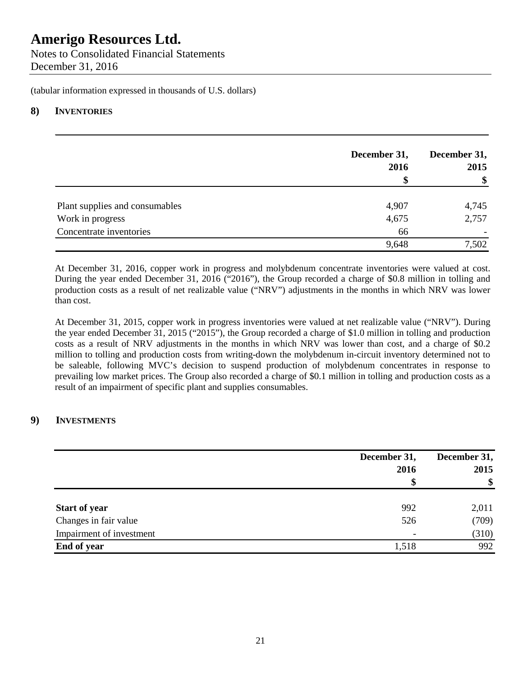Notes to Consolidated Financial Statements December 31, 2016

(tabular information expressed in thousands of U.S. dollars)

## **8) INVENTORIES**

|                                | December 31,<br>2016 | December 31,<br>2015 |
|--------------------------------|----------------------|----------------------|
|                                | \$                   | \$                   |
| Plant supplies and consumables | 4,907                | 4,745                |
| Work in progress               | 4,675                | 2,757                |
| Concentrate inventories        | 66                   |                      |
|                                | 9,648                | 7,502                |

At December 31, 2016, copper work in progress and molybdenum concentrate inventories were valued at cost. During the year ended December 31, 2016 ("2016"), the Group recorded a charge of \$0.8 million in tolling and production costs as a result of net realizable value ("NRV") adjustments in the months in which NRV was lower than cost.

At December 31, 2015, copper work in progress inventories were valued at net realizable value ("NRV"). During the year ended December 31, 2015 ("2015"), the Group recorded a charge of \$1.0 million in tolling and production costs as a result of NRV adjustments in the months in which NRV was lower than cost, and a charge of \$0.2 million to tolling and production costs from writing-down the molybdenum in-circuit inventory determined not to be saleable, following MVC's decision to suspend production of molybdenum concentrates in response to prevailing low market prices. The Group also recorded a charge of \$0.1 million in tolling and production costs as a result of an impairment of specific plant and supplies consumables.

## **9) INVESTMENTS**

|                          | December 31,<br>2016 | December 31,<br>2015<br>\$ |
|--------------------------|----------------------|----------------------------|
| <b>Start of year</b>     | 992                  | 2,011                      |
| Changes in fair value    | 526                  | (709)                      |
| Impairment of investment |                      | (310)                      |
| End of year              | 1,518                | 992                        |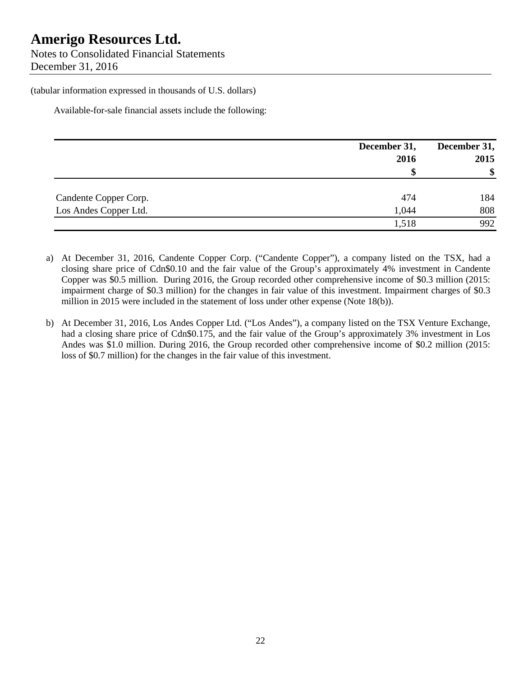Notes to Consolidated Financial Statements December 31, 2016

(tabular information expressed in thousands of U.S. dollars)

Available-for-sale financial assets include the following:

|                       | December 31,<br>2016<br><b>C</b><br>Ю | December 31,<br>2015<br>\$ |
|-----------------------|---------------------------------------|----------------------------|
| Candente Copper Corp. | 474                                   | 184                        |
| Los Andes Copper Ltd. | 1,044                                 | 808                        |
|                       | 1,518                                 | 992                        |

- a) At December 31, 2016, Candente Copper Corp. ("Candente Copper"), a company listed on the TSX, had a closing share price of Cdn\$0.10 and the fair value of the Group's approximately 4% investment in Candente Copper was \$0.5 million. During 2016, the Group recorded other comprehensive income of \$0.3 million (2015: impairment charge of \$0.3 million) for the changes in fair value of this investment. Impairment charges of \$0.3 million in 2015 were included in the statement of loss under other expense (Note 18(b)).
- b) At December 31, 2016, Los Andes Copper Ltd. ("Los Andes"), a company listed on the TSX Venture Exchange, had a closing share price of Cdn\$0.175, and the fair value of the Group's approximately 3% investment in Los Andes was \$1.0 million. During 2016, the Group recorded other comprehensive income of \$0.2 million (2015: loss of \$0.7 million) for the changes in the fair value of this investment.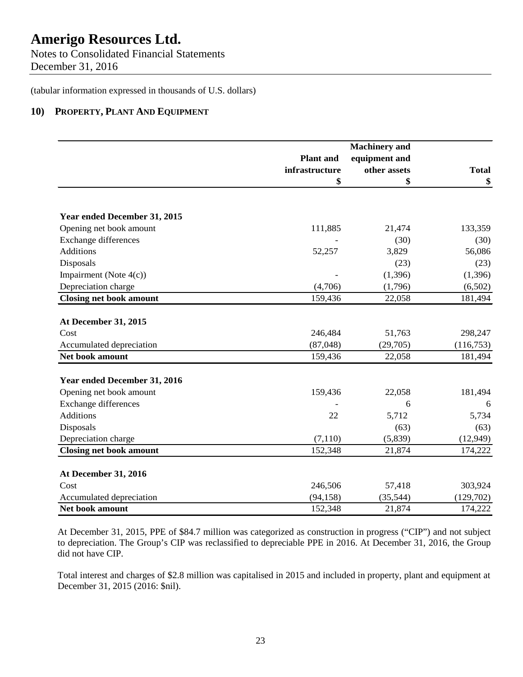Notes to Consolidated Financial Statements December 31, 2016

(tabular information expressed in thousands of U.S. dollars)

## **10) PROPERTY, PLANT AND EQUIPMENT**

|                                |                  | <b>Machinery</b> and |              |
|--------------------------------|------------------|----------------------|--------------|
|                                | <b>Plant</b> and | equipment and        |              |
|                                | infrastructure   | other assets         | <b>Total</b> |
|                                | \$               | \$                   | \$           |
|                                |                  |                      |              |
| Year ended December 31, 2015   |                  |                      |              |
| Opening net book amount        | 111,885          | 21,474               | 133,359      |
| <b>Exchange differences</b>    |                  | (30)                 | (30)         |
| <b>Additions</b>               | 52,257           | 3,829                | 56,086       |
| Disposals                      |                  | (23)                 | (23)         |
| Impairment (Note 4(c))         |                  | (1, 396)             | (1, 396)     |
| Depreciation charge            | (4,706)          | (1,796)              | (6,502)      |
| <b>Closing net book amount</b> | 159,436          | 22,058               | 181,494      |
| At December 31, 2015           |                  |                      |              |
| Cost                           | 246,484          | 51,763               | 298,247      |
| Accumulated depreciation       | (87,048)         | (29,705)             | (116, 753)   |
| Net book amount                | 159,436          | 22,058               | 181,494      |
| Year ended December 31, 2016   |                  |                      |              |
| Opening net book amount        | 159,436          | 22,058               | 181,494      |
| <b>Exchange differences</b>    |                  | 6                    | 6            |
| <b>Additions</b>               | 22               | 5,712                | 5,734        |
| Disposals                      |                  | (63)                 | (63)         |
| Depreciation charge            | (7,110)          | (5,839)              | (12, 949)    |
| <b>Closing net book amount</b> | 152,348          | 21,874               | 174,222      |
| At December 31, 2016           |                  |                      |              |
| Cost                           | 246,506          | 57,418               | 303,924      |
| Accumulated depreciation       | (94, 158)        | (35, 544)            | (129,702)    |
| Net book amount                | 152,348          | 21,874               | 174,222      |
|                                |                  |                      |              |

At December 31, 2015, PPE of \$84.7 million was categorized as construction in progress ("CIP") and not subject to depreciation. The Group's CIP was reclassified to depreciable PPE in 2016. At December 31, 2016, the Group did not have CIP.

Total interest and charges of \$2.8 million was capitalised in 2015 and included in property, plant and equipment at December 31, 2015 (2016: \$nil).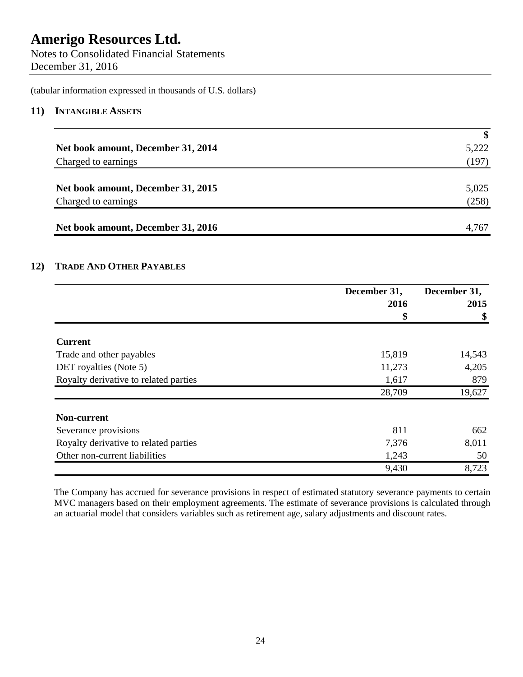Notes to Consolidated Financial Statements December 31, 2016

(tabular information expressed in thousands of U.S. dollars)

## **11) INTANGIBLE ASSETS**

|                                    | $\mathbf{\$}$ |
|------------------------------------|---------------|
| Net book amount, December 31, 2014 | 5,222         |
| Charged to earnings                | (197)         |
| Net book amount, December 31, 2015 | 5,025         |
| Charged to earnings                | (258)         |
|                                    |               |
| Net book amount, December 31, 2016 | 4.767         |

## **12) TRADE AND OTHER PAYABLES**

|                                       | December 31, | December 31, |
|---------------------------------------|--------------|--------------|
|                                       | 2016         | 2015         |
|                                       | \$           | \$           |
| <b>Current</b>                        |              |              |
| Trade and other payables              | 15,819       | 14,543       |
| DET royalties (Note 5)                | 11,273       | 4,205        |
| Royalty derivative to related parties | 1,617        | 879          |
|                                       | 28,709       | 19,627       |
| Non-current                           |              |              |
| Severance provisions                  | 811          | 662          |
| Royalty derivative to related parties | 7,376        | 8,011        |
| Other non-current liabilities         | 1,243        | 50           |
|                                       | 9,430        | 8,723        |

The Company has accrued for severance provisions in respect of estimated statutory severance payments to certain MVC managers based on their employment agreements. The estimate of severance provisions is calculated through an actuarial model that considers variables such as retirement age, salary adjustments and discount rates.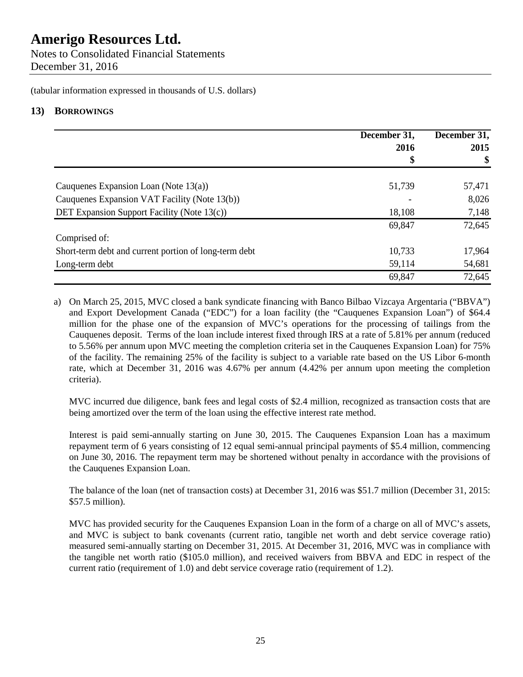Notes to Consolidated Financial Statements December 31, 2016

(tabular information expressed in thousands of U.S. dollars)

## **13) BORROWINGS**

|                                                       | December 31, | December 31, |  |
|-------------------------------------------------------|--------------|--------------|--|
|                                                       | 2016         | 2015         |  |
|                                                       | \$           | \$           |  |
| Cauquenes Expansion Loan (Note $13(a)$ )              | 51,739       | 57,471       |  |
| Cauquenes Expansion VAT Facility (Note 13(b))         |              | 8,026        |  |
| DET Expansion Support Facility (Note 13(c))           | 18,108       | 7,148        |  |
|                                                       | 69,847       | 72,645       |  |
| Comprised of:                                         |              |              |  |
| Short-term debt and current portion of long-term debt | 10,733       | 17,964       |  |
| Long-term debt                                        | 59,114       | 54,681       |  |
|                                                       | 69,847       | 72,645       |  |

a) On March 25, 2015, MVC closed a bank syndicate financing with Banco Bilbao Vizcaya Argentaria ("BBVA") and Export Development Canada ("EDC") for a loan facility (the "Cauquenes Expansion Loan") of \$64.4 million for the phase one of the expansion of MVC's operations for the processing of tailings from the Cauquenes deposit. Terms of the loan include interest fixed through IRS at a rate of 5.81% per annum (reduced to 5.56% per annum upon MVC meeting the completion criteria set in the Cauquenes Expansion Loan) for 75% of the facility. The remaining 25% of the facility is subject to a variable rate based on the US Libor 6-month rate, which at December 31, 2016 was 4.67% per annum (4.42% per annum upon meeting the completion criteria).

MVC incurred due diligence, bank fees and legal costs of \$2.4 million, recognized as transaction costs that are being amortized over the term of the loan using the effective interest rate method.

Interest is paid semi-annually starting on June 30, 2015. The Cauquenes Expansion Loan has a maximum repayment term of 6 years consisting of 12 equal semi-annual principal payments of \$5.4 million, commencing on June 30, 2016. The repayment term may be shortened without penalty in accordance with the provisions of the Cauquenes Expansion Loan.

The balance of the loan (net of transaction costs) at December 31, 2016 was \$51.7 million (December 31, 2015: \$57.5 million).

MVC has provided security for the Cauquenes Expansion Loan in the form of a charge on all of MVC's assets, and MVC is subject to bank covenants (current ratio, tangible net worth and debt service coverage ratio) measured semi-annually starting on December 31, 2015. At December 31, 2016, MVC was in compliance with the tangible net worth ratio (\$105.0 million), and received waivers from BBVA and EDC in respect of the current ratio (requirement of 1.0) and debt service coverage ratio (requirement of 1.2).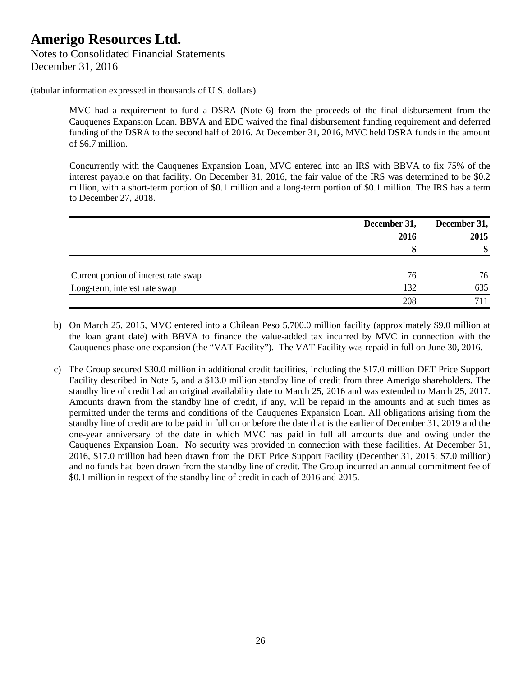MVC had a requirement to fund a DSRA (Note 6) from the proceeds of the final disbursement from the Cauquenes Expansion Loan. BBVA and EDC waived the final disbursement funding requirement and deferred funding of the DSRA to the second half of 2016. At December 31, 2016, MVC held DSRA funds in the amount of \$6.7 million.

Concurrently with the Cauquenes Expansion Loan, MVC entered into an IRS with BBVA to fix 75% of the interest payable on that facility. On December 31, 2016, the fair value of the IRS was determined to be \$0.2 million, with a short-term portion of \$0.1 million and a long-term portion of \$0.1 million. The IRS has a term to December 27, 2018.

|                                       | December 31, | December 31, |  |
|---------------------------------------|--------------|--------------|--|
|                                       | 2016         | 2015<br>\$   |  |
|                                       |              |              |  |
| Current portion of interest rate swap | 76           | 76           |  |
| Long-term, interest rate swap         | 132          | 635          |  |
|                                       | 208          | 711          |  |

- b) On March 25, 2015, MVC entered into a Chilean Peso 5,700.0 million facility (approximately \$9.0 million at the loan grant date) with BBVA to finance the value-added tax incurred by MVC in connection with the Cauquenes phase one expansion (the "VAT Facility"). The VAT Facility was repaid in full on June 30, 2016.
- c) The Group secured \$30.0 million in additional credit facilities, including the \$17.0 million DET Price Support Facility described in Note 5, and a \$13.0 million standby line of credit from three Amerigo shareholders. The standby line of credit had an original availability date to March 25, 2016 and was extended to March 25, 2017. Amounts drawn from the standby line of credit, if any, will be repaid in the amounts and at such times as permitted under the terms and conditions of the Cauquenes Expansion Loan. All obligations arising from the standby line of credit are to be paid in full on or before the date that is the earlier of December 31, 2019 and the one-year anniversary of the date in which MVC has paid in full all amounts due and owing under the Cauquenes Expansion Loan. No security was provided in connection with these facilities. At December 31, 2016, \$17.0 million had been drawn from the DET Price Support Facility (December 31, 2015: \$7.0 million) and no funds had been drawn from the standby line of credit. The Group incurred an annual commitment fee of \$0.1 million in respect of the standby line of credit in each of 2016 and 2015.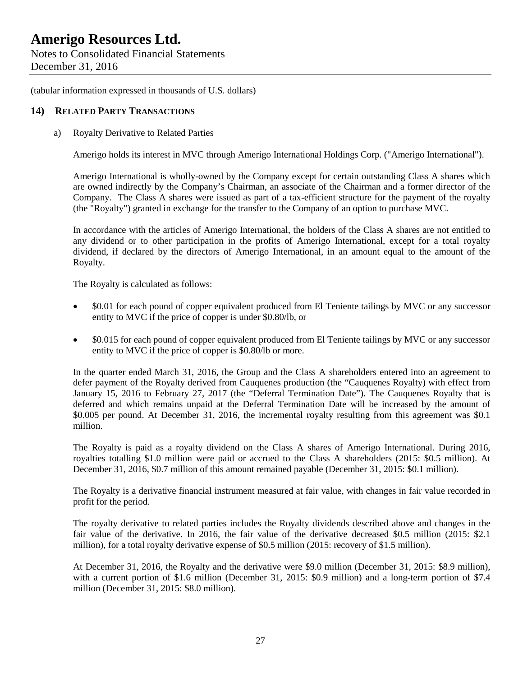Notes to Consolidated Financial Statements December 31, 2016

(tabular information expressed in thousands of U.S. dollars)

### **14) RELATED PARTY TRANSACTIONS**

### a) Royalty Derivative to Related Parties

Amerigo holds its interest in MVC through Amerigo International Holdings Corp. ("Amerigo International").

Amerigo International is wholly-owned by the Company except for certain outstanding Class A shares which are owned indirectly by the Company's Chairman, an associate of the Chairman and a former director of the Company. The Class A shares were issued as part of a tax-efficient structure for the payment of the royalty (the "Royalty") granted in exchange for the transfer to the Company of an option to purchase MVC.

In accordance with the articles of Amerigo International, the holders of the Class A shares are not entitled to any dividend or to other participation in the profits of Amerigo International, except for a total royalty dividend, if declared by the directors of Amerigo International, in an amount equal to the amount of the Royalty.

The Royalty is calculated as follows:

- \$0.01 for each pound of copper equivalent produced from El Teniente tailings by MVC or any successor entity to MVC if the price of copper is under \$0.80/lb, or
- $\degree$  \$0.015 for each pound of copper equivalent produced from El Teniente tailings by MVC or any successor entity to MVC if the price of copper is \$0.80/lb or more.

In the quarter ended March 31, 2016, the Group and the Class A shareholders entered into an agreement to defer payment of the Royalty derived from Cauquenes production (the "Cauquenes Royalty) with effect from January 15, 2016 to February 27, 2017 (the "Deferral Termination Date"). The Cauquenes Royalty that is deferred and which remains unpaid at the Deferral Termination Date will be increased by the amount of \$0.005 per pound. At December 31, 2016, the incremental royalty resulting from this agreement was \$0.1 million.

The Royalty is paid as a royalty dividend on the Class A shares of Amerigo International. During 2016, royalties totalling \$1.0 million were paid or accrued to the Class A shareholders (2015: \$0.5 million). At December 31, 2016, \$0.7 million of this amount remained payable (December 31, 2015: \$0.1 million).

The Royalty is a derivative financial instrument measured at fair value, with changes in fair value recorded in profit for the period.

The royalty derivative to related parties includes the Royalty dividends described above and changes in the fair value of the derivative. In 2016, the fair value of the derivative decreased \$0.5 million (2015: \$2.1 million), for a total royalty derivative expense of \$0.5 million (2015: recovery of \$1.5 million).

At December 31, 2016, the Royalty and the derivative were \$9.0 million (December 31, 2015: \$8.9 million), with a current portion of \$1.6 million (December 31, 2015: \$0.9 million) and a long-term portion of \$7.4 million (December 31, 2015: \$8.0 million).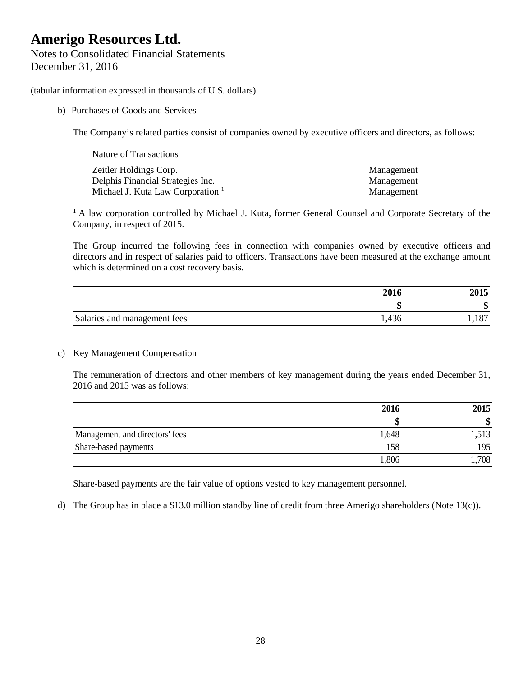Notes to Consolidated Financial Statements December 31, 2016

(tabular information expressed in thousands of U.S. dollars)

b) Purchases of Goods and Services

The Company's related parties consist of companies owned by executive officers and directors, as follows:

| Nature of Transactions                       |            |
|----------------------------------------------|------------|
| Zeitler Holdings Corp.                       | Management |
| Delphis Financial Strategies Inc.            | Management |
| Michael J. Kuta Law Corporation <sup>1</sup> | Management |

<sup>1</sup> A law corporation controlled by Michael J. Kuta, former General Counsel and Corporate Secretary of the Company, in respect of 2015.

The Group incurred the following fees in connection with companies owned by executive officers and directors and in respect of salaries paid to officers. Transactions have been measured at the exchange amount which is determined on a cost recovery basis.

|                              | 2016  | 2015    |
|------------------------------|-------|---------|
|                              |       | ሐ<br>νD |
| Salaries and management fees | 1,436 | 1,187   |

### c) Key Management Compensation

The remuneration of directors and other members of key management during the years ended December 31, 2016 and 2015 was as follows:

|                                | 2016  | 2015 |
|--------------------------------|-------|------|
|                                |       |      |
| Management and directors' fees | 1,648 | ,513 |
| Share-based payments           | 158   | 195  |
|                                | 1,806 | ,708 |

Share-based payments are the fair value of options vested to key management personnel.

d) The Group has in place a \$13.0 million standby line of credit from three Amerigo shareholders (Note 13(c)).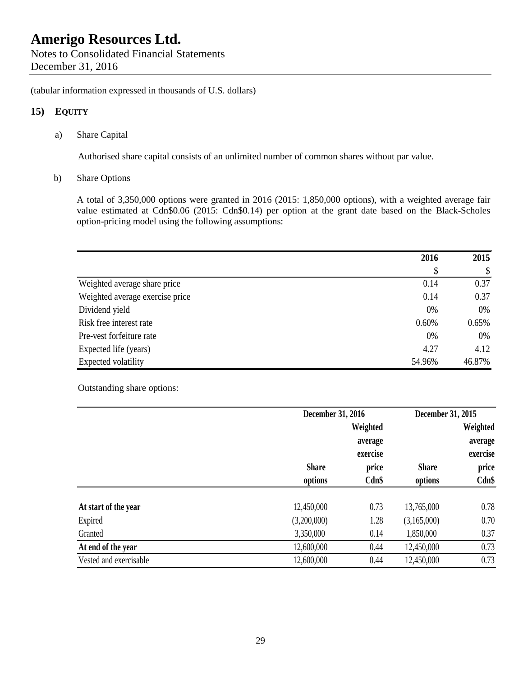Notes to Consolidated Financial Statements December 31, 2016

(tabular information expressed in thousands of U.S. dollars)

## **15) EQUITY**

a) Share Capital

Authorised share capital consists of an unlimited number of common shares without par value.

b) Share Options

A total of 3,350,000 options were granted in 2016 (2015: 1,850,000 options), with a weighted average fair value estimated at Cdn\$0.06 (2015: Cdn\$0.14) per option at the grant date based on the Black-Scholes option-pricing model using the following assumptions:

|                                 | 2016   |        |  |
|---------------------------------|--------|--------|--|
|                                 | \$     | \$     |  |
| Weighted average share price    | 0.14   | 0.37   |  |
| Weighted average exercise price | 0.14   | 0.37   |  |
| Dividend yield                  | 0%     | $0\%$  |  |
| Risk free interest rate         | 0.60%  | 0.65%  |  |
| Pre-vest forfeiture rate        | 0%     | 0%     |  |
| Expected life (years)           | 4.27   | 4.12   |  |
| Expected volatility             | 54.96% | 46.87% |  |

Outstanding share options:

|                        |              | <b>December 31, 2016</b> |              | December 31, 2015 |  |
|------------------------|--------------|--------------------------|--------------|-------------------|--|
|                        |              | Weighted                 |              | Weighted          |  |
|                        |              | average                  |              | average           |  |
|                        |              | exercise                 |              | exercise          |  |
|                        | <b>Share</b> | price                    | <b>Share</b> | price             |  |
|                        | options      | $Cdn$ \$                 | options      | $Cdn$ \$          |  |
| At start of the year   | 12,450,000   | 0.73                     | 13,765,000   | 0.78              |  |
| Expired                | (3,200,000)  | 1.28                     | (3,165,000)  | 0.70              |  |
| Granted                | 3,350,000    | 0.14                     | 1,850,000    | 0.37              |  |
| At end of the year     | 12,600,000   | 0.44                     | 12,450,000   | 0.73              |  |
| Vested and exercisable | 12,600,000   | 0.44                     | 12,450,000   | 0.73              |  |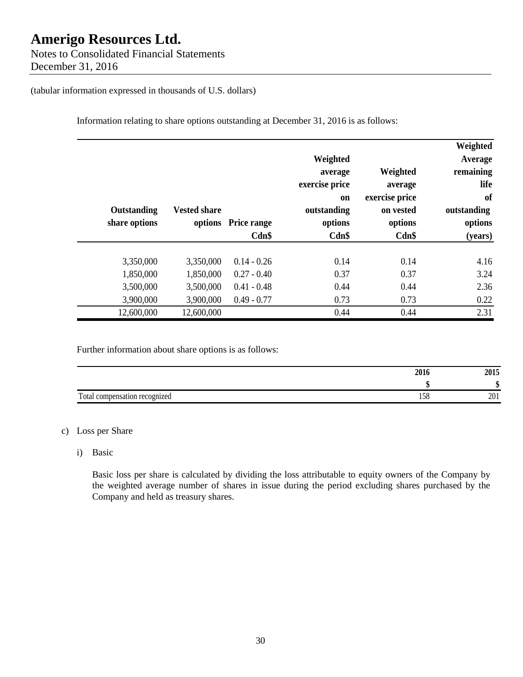Notes to Consolidated Financial Statements December 31, 2016

## (tabular information expressed in thousands of U.S. dollars)

Information relating to share options outstanding at December 31, 2016 is as follows:

| Outstanding<br>share options                     | <b>Vested share</b>                              | options Price range<br>Cdn\$                                     | Weighted<br>average<br>exercise price<br><sub>on</sub><br>outstanding<br>options<br>Cdn\$ | Weighted<br>average<br>exercise price<br>on vested<br>options<br>Cdn\$ | Weighted<br>Average<br>remaining<br>life<br>of<br>outstanding<br>options<br>(years) |
|--------------------------------------------------|--------------------------------------------------|------------------------------------------------------------------|-------------------------------------------------------------------------------------------|------------------------------------------------------------------------|-------------------------------------------------------------------------------------|
| 3,350,000<br>1,850,000<br>3,500,000<br>3,900,000 | 3,350,000<br>1,850,000<br>3,500,000<br>3,900,000 | $0.14 - 0.26$<br>$0.27 - 0.40$<br>$0.41 - 0.48$<br>$0.49 - 0.77$ | 0.14<br>0.37<br>0.44<br>0.73                                                              | 0.14<br>0.37<br>0.44<br>0.73                                           | 4.16<br>3.24<br>2.36<br>0.22                                                        |
| 12,600,000                                       | 12,600,000                                       |                                                                  | 0.44                                                                                      | 0.44                                                                   | 2.31                                                                                |

Further information about share options is as follows:

|                                         | 2016          | 2015      |
|-----------------------------------------|---------------|-----------|
|                                         |               | ሐ<br>۱D   |
| Total<br>l compensation recognized<br>▱ | $\sim$<br>190 | 201<br>∠∪ |

### c) Loss per Share

i) Basic

Basic loss per share is calculated by dividing the loss attributable to equity owners of the Company by the weighted average number of shares in issue during the period excluding shares purchased by the Company and held as treasury shares.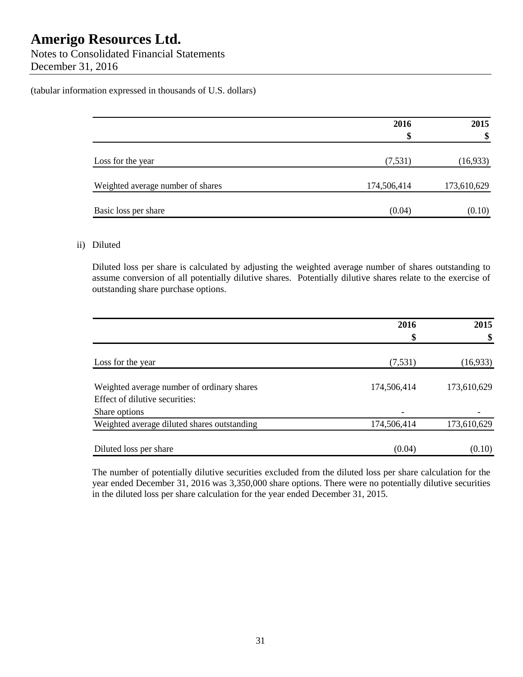Notes to Consolidated Financial Statements December 31, 2016

(tabular information expressed in thousands of U.S. dollars)

|                                   | 2016        | 2015        |
|-----------------------------------|-------------|-------------|
|                                   | \$          |             |
| Loss for the year                 | (7, 531)    | (16, 933)   |
| Weighted average number of shares | 174,506,414 | 173,610,629 |
| Basic loss per share              | (0.04)      | (0.10)      |

## ii) Diluted

Diluted loss per share is calculated by adjusting the weighted average number of shares outstanding to assume conversion of all potentially dilutive shares. Potentially dilutive shares relate to the exercise of outstanding share purchase options.

|                                                                              | 2016        | 2015        |
|------------------------------------------------------------------------------|-------------|-------------|
|                                                                              | \$          | \$          |
| Loss for the year                                                            | (7,531)     | (16, 933)   |
| Weighted average number of ordinary shares<br>Effect of dilutive securities: | 174,506,414 | 173,610,629 |
| Share options                                                                |             |             |
| Weighted average diluted shares outstanding                                  | 174,506,414 | 173,610,629 |
| Diluted loss per share                                                       | (0.04)      | (0.10)      |

The number of potentially dilutive securities excluded from the diluted loss per share calculation for the year ended December 31, 2016 was 3,350,000 share options. There were no potentially dilutive securities in the diluted loss per share calculation for the year ended December 31, 2015.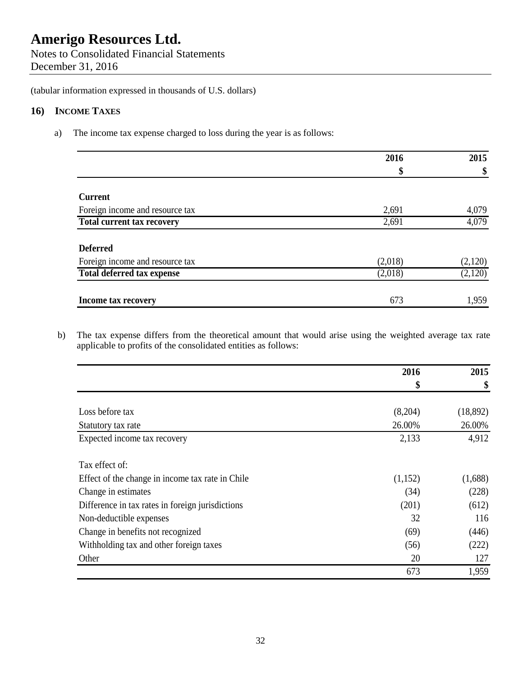Notes to Consolidated Financial Statements December 31, 2016

(tabular information expressed in thousands of U.S. dollars)

## **16) INCOME TAXES**

a) The income tax expense charged to loss during the year is as follows:

|                                   | 2016    | 2015    |
|-----------------------------------|---------|---------|
|                                   | \$      | \$      |
|                                   |         |         |
| <b>Current</b>                    |         |         |
| Foreign income and resource tax   | 2,691   | 4,079   |
| <b>Total current tax recovery</b> | 2,691   | 4,079   |
| <b>Deferred</b>                   |         |         |
| Foreign income and resource tax   | (2,018) | (2,120) |
| Total deferred tax expense        | (2,018) | (2,120) |
| Income tax recovery               | 673     | 1,959   |

b) The tax expense differs from the theoretical amount that would arise using the weighted average tax rate applicable to profits of the consolidated entities as follows:

|                                                  | 2016<br>\$ | 2015      |
|--------------------------------------------------|------------|-----------|
|                                                  |            | \$        |
|                                                  |            |           |
| Loss before tax                                  | (8,204)    | (18, 892) |
| Statutory tax rate                               | 26.00%     | 26.00%    |
| Expected income tax recovery                     | 2,133      | 4,912     |
| Tax effect of:                                   |            |           |
| Effect of the change in income tax rate in Chile | (1,152)    | (1,688)   |
| Change in estimates                              | (34)       | (228)     |
| Difference in tax rates in foreign jurisdictions | (201)      | (612)     |
| Non-deductible expenses                          | 32         | 116       |
| Change in benefits not recognized                | (69)       | (446)     |
| Withholding tax and other foreign taxes          | (56)       | (222)     |
| Other                                            | 20         | 127       |
|                                                  | 673        | 1,959     |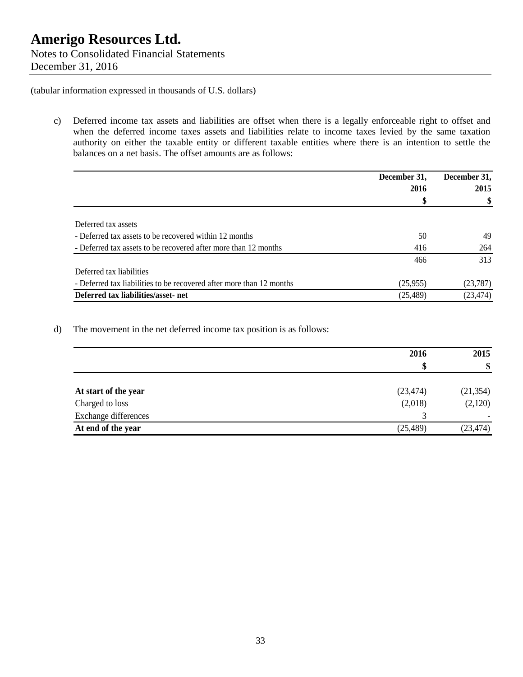Notes to Consolidated Financial Statements December 31, 2016

(tabular information expressed in thousands of U.S. dollars)

c) Deferred income tax assets and liabilities are offset when there is a legally enforceable right to offset and when the deferred income taxes assets and liabilities relate to income taxes levied by the same taxation authority on either the taxable entity or different taxable entities where there is an intention to settle the balances on a net basis. The offset amounts are as follows:

|                                                                      | December 31,<br>2016 | December 31, |  |
|----------------------------------------------------------------------|----------------------|--------------|--|
|                                                                      |                      | 2015         |  |
|                                                                      | \$                   | \$           |  |
| Deferred tax assets                                                  |                      |              |  |
| - Deferred tax assets to be recovered within 12 months               | 50                   | 49           |  |
| - Deferred tax assets to be recovered after more than 12 months      | 416                  | 264          |  |
|                                                                      | 466                  | 313          |  |
| Deferred tax liabilities                                             |                      |              |  |
| - Deferred tax liabilities to be recovered after more than 12 months | (25,955)             | (23, 787)    |  |
| Deferred tax liabilities/asset-net                                   | (25, 489)            | (23, 474)    |  |

d) The movement in the net deferred income tax position is as follows:

|                      | 2016      | 2015      |
|----------------------|-----------|-----------|
|                      | S         | \$        |
| At start of the year | (23, 474) | (21, 354) |
| Charged to loss      | (2,018)   | (2,120)   |
| Exchange differences | 3         |           |
| At end of the year   | (25, 489) | (23, 474) |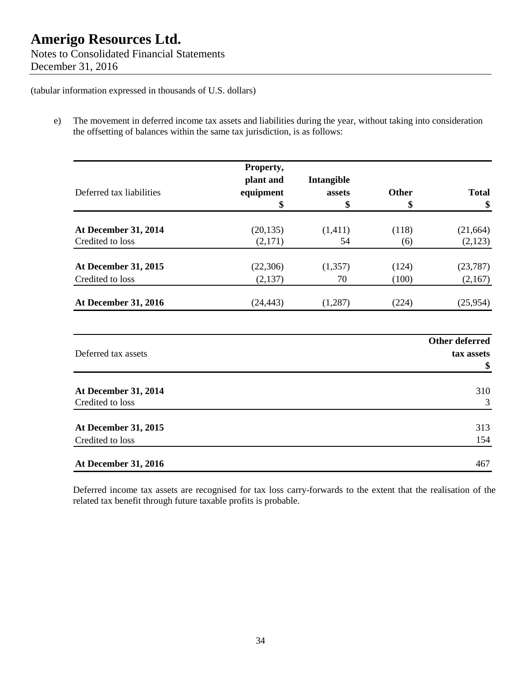e) The movement in deferred income tax assets and liabilities during the year, without taking into consideration the offsetting of balances within the same tax jurisdiction, is as follows:

|                             | Property, |            |              |                       |
|-----------------------------|-----------|------------|--------------|-----------------------|
|                             | plant and | Intangible |              |                       |
| Deferred tax liabilities    | equipment | assets     | <b>Other</b> | <b>Total</b>          |
|                             | \$        | \$         | \$           | \$                    |
| At December 31, 2014        | (20, 135) | (1,411)    | (118)        | (21, 664)             |
| Credited to loss            | (2,171)   | 54         | (6)          | (2,123)               |
| <b>At December 31, 2015</b> | (22,306)  | (1,357)    | (124)        | (23, 787)             |
| Credited to loss            | (2,137)   | 70         | (100)        | (2,167)               |
| <b>At December 31, 2016</b> | (24, 443) | (1,287)    | (224)        | (25,954)              |
|                             |           |            |              |                       |
|                             |           |            |              | <b>Other deferred</b> |
| Deferred tax assets         |           |            |              | tax assets            |
|                             |           |            |              | \$                    |
| At December 31, 2014        |           |            |              | 310                   |
| Credited to loss            |           |            |              | 3                     |
| <b>At December 31, 2015</b> |           |            |              | 313                   |
| Credited to loss            |           |            |              | 154                   |
| <b>At December 31, 2016</b> |           |            |              | 467                   |

Deferred income tax assets are recognised for tax loss carry-forwards to the extent that the realisation of the related tax benefit through future taxable profits is probable.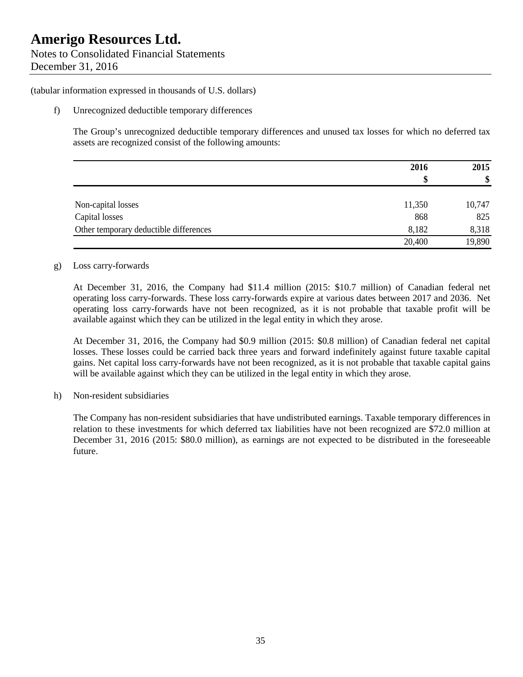## **Amerigo Resources Ltd.** Notes to Consolidated Financial Statements December 31, 2016

(tabular information expressed in thousands of U.S. dollars)

f) Unrecognized deductible temporary differences

The Group's unrecognized deductible temporary differences and unused tax losses for which no deferred tax assets are recognized consist of the following amounts:

|                                        | 2016   | 2015   |
|----------------------------------------|--------|--------|
|                                        | S      | \$     |
| Non-capital losses                     | 11,350 | 10,747 |
| Capital losses                         | 868    | 825    |
| Other temporary deductible differences | 8,182  | 8,318  |
|                                        | 20,400 | 19,890 |

## g) Loss carry-forwards

At December 31, 2016, the Company had \$11.4 million (2015: \$10.7 million) of Canadian federal net operating loss carry-forwards. These loss carry-forwards expire at various dates between 2017 and 2036. Net operating loss carry-forwards have not been recognized, as it is not probable that taxable profit will be available against which they can be utilized in the legal entity in which they arose.

At December 31, 2016, the Company had \$0.9 million (2015: \$0.8 million) of Canadian federal net capital losses. These losses could be carried back three years and forward indefinitely against future taxable capital gains. Net capital loss carry-forwards have not been recognized, as it is not probable that taxable capital gains will be available against which they can be utilized in the legal entity in which they arose.

h) Non-resident subsidiaries

The Company has non-resident subsidiaries that have undistributed earnings. Taxable temporary differences in relation to these investments for which deferred tax liabilities have not been recognized are \$72.0 million at December 31, 2016 (2015: \$80.0 million), as earnings are not expected to be distributed in the foreseeable future.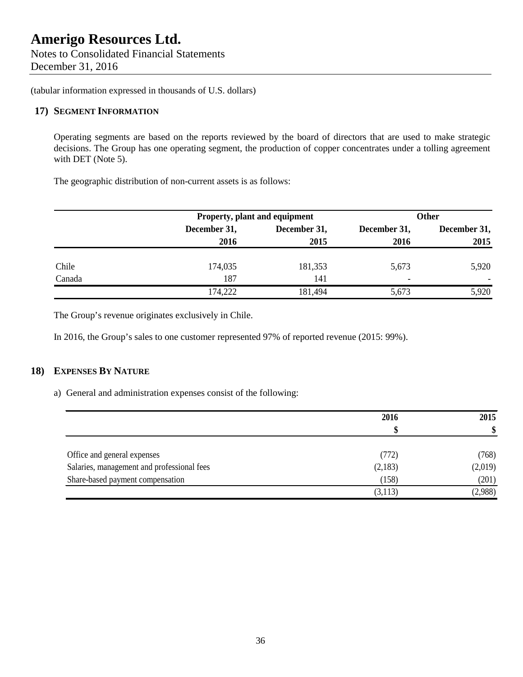Notes to Consolidated Financial Statements December 31, 2016

(tabular information expressed in thousands of U.S. dollars)

## **17) SEGMENT INFORMATION**

Operating segments are based on the reports reviewed by the board of directors that are used to make strategic decisions. The Group has one operating segment, the production of copper concentrates under a tolling agreement with DET (Note 5).

The geographic distribution of non-current assets is as follows:

|        |              | Property, plant and equipment |              | <b>Other</b> |
|--------|--------------|-------------------------------|--------------|--------------|
|        | December 31, | December 31,                  | December 31, | December 31, |
|        | 2016         | 2015                          |              | 2015         |
| Chile  | 174,035      | 181,353                       | 5,673        | 5,920        |
| Canada | 187          | 141                           | ۰            |              |
|        | 174,222      | 181,494                       | 5,673        | 5,920        |

The Group's revenue originates exclusively in Chile.

In 2016, the Group's sales to one customer represented 97% of reported revenue (2015: 99%).

## **18) EXPENSES BY NATURE**

a) General and administration expenses consist of the following:

|                                            | 2016     | 2015    |
|--------------------------------------------|----------|---------|
|                                            |          | \$      |
|                                            |          |         |
| Office and general expenses                | (772)    | (768)   |
| Salaries, management and professional fees | (2,183)  | (2,019) |
| Share-based payment compensation           | (158)    | (201)   |
|                                            | (3, 113) | (2,988) |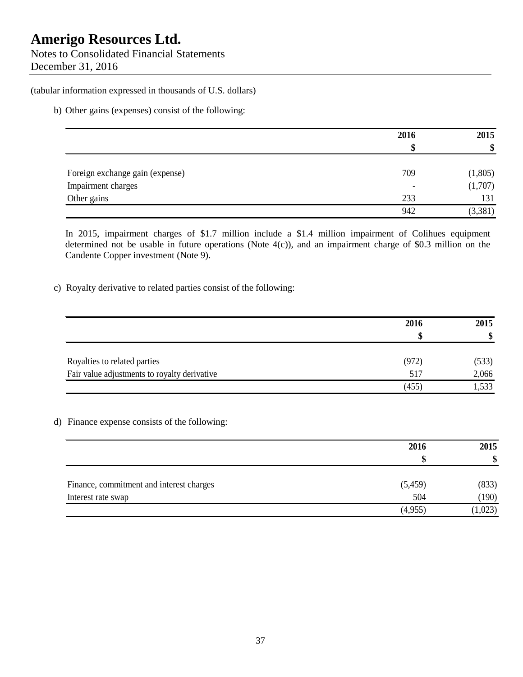Notes to Consolidated Financial Statements December 31, 2016

### (tabular information expressed in thousands of U.S. dollars)

b) Other gains (expenses) consist of the following:

|                                 | 2016                     | 2015    |
|---------------------------------|--------------------------|---------|
|                                 | S                        | \$      |
|                                 |                          |         |
| Foreign exchange gain (expense) | 709                      | (1,805) |
| Impairment charges              | $\overline{\phantom{a}}$ | (1,707) |
| Other gains                     | 233                      | 131     |
|                                 | 942                      | (3,381) |

In 2015, impairment charges of \$1.7 million include a \$1.4 million impairment of Colihues equipment determined not be usable in future operations (Note 4(c)), and an impairment charge of \$0.3 million on the Candente Copper investment (Note 9).

c) Royalty derivative to related parties consist of the following:

|                                              | 2016  | 2015<br>\$ |
|----------------------------------------------|-------|------------|
|                                              |       |            |
| Royalties to related parties                 | (972) | (533)      |
| Fair value adjustments to royalty derivative | 517   | 2,066      |
|                                              | (455) | 1,533      |

d) Finance expense consists of the following:

|                                          | 2016    | 2015    |
|------------------------------------------|---------|---------|
|                                          | \$      | ¢       |
| Finance, commitment and interest charges | (5,459) | (833)   |
| Interest rate swap                       | 504     | (190)   |
|                                          | (4,955) | (1,023) |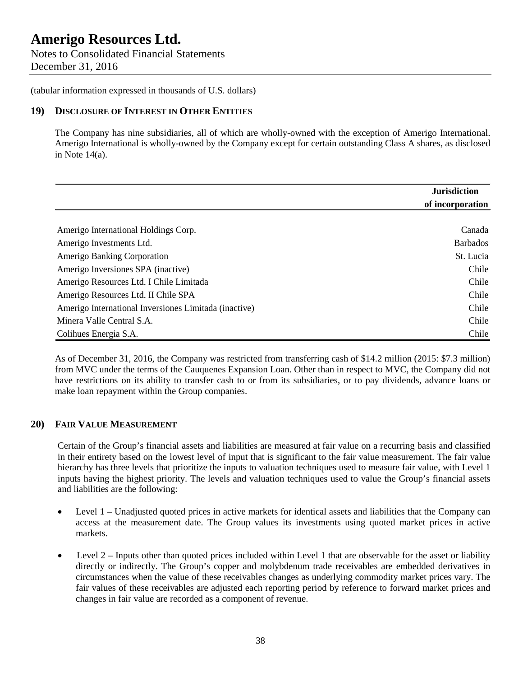Notes to Consolidated Financial Statements December 31, 2016

(tabular information expressed in thousands of U.S. dollars)

## **19) DISCLOSURE OF INTEREST IN OTHER ENTITIES**

The Company has nine subsidiaries, all of which are wholly-owned with the exception of Amerigo International. Amerigo International is wholly-owned by the Company except for certain outstanding Class A shares, as disclosed in Note  $14(a)$ .

|                                                       | <b>Jurisdiction</b><br>of incorporation |
|-------------------------------------------------------|-----------------------------------------|
|                                                       |                                         |
| Amerigo International Holdings Corp.                  | Canada                                  |
| Amerigo Investments Ltd.                              | <b>Barbados</b>                         |
| Amerigo Banking Corporation                           | St. Lucia                               |
| Amerigo Inversiones SPA (inactive)                    | Chile                                   |
| Amerigo Resources Ltd. I Chile Limitada               | Chile                                   |
| Amerigo Resources Ltd. II Chile SPA                   | Chile                                   |
| Amerigo International Inversiones Limitada (inactive) | Chile                                   |
| Minera Valle Central S.A.                             | Chile                                   |
| Colihues Energia S.A.                                 | Chile                                   |

As of December 31, 2016, the Company was restricted from transferring cash of \$14.2 million (2015: \$7.3 million) from MVC under the terms of the Cauquenes Expansion Loan. Other than in respect to MVC, the Company did not have restrictions on its ability to transfer cash to or from its subsidiaries, or to pay dividends, advance loans or make loan repayment within the Group companies.

## **20) FAIR VALUE MEASUREMENT**

Certain of the Group's financial assets and liabilities are measured at fair value on a recurring basis and classified in their entirety based on the lowest level of input that is significant to the fair value measurement. The fair value hierarchy has three levels that prioritize the inputs to valuation techniques used to measure fair value, with Level 1 inputs having the highest priority. The levels and valuation techniques used to value the Group's financial assets and liabilities are the following:

- Level 1 Unadjusted quoted prices in active markets for identical assets and liabilities that the Company can access at the measurement date. The Group values its investments using quoted market prices in active markets.
- Level  $2$  Inputs other than quoted prices included within Level 1 that are observable for the asset or liability directly or indirectly. The Group's copper and molybdenum trade receivables are embedded derivatives in circumstances when the value of these receivables changes as underlying commodity market prices vary. The fair values of these receivables are adjusted each reporting period by reference to forward market prices and changes in fair value are recorded as a component of revenue.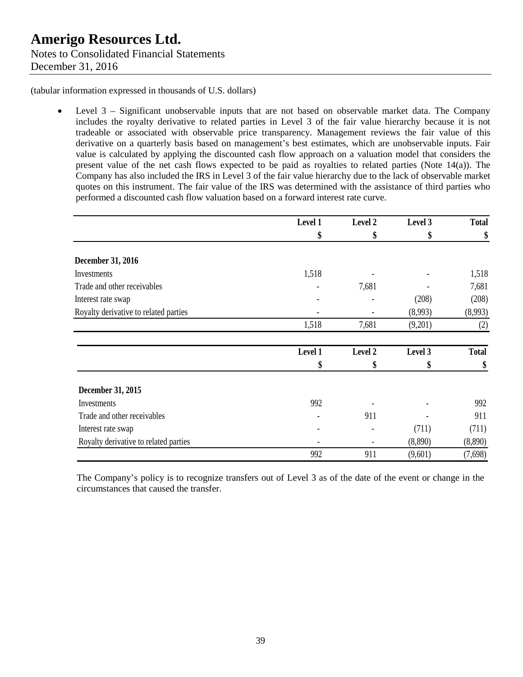• Level 3 – Significant unobservable inputs that are not based on observable market data. The Company includes the royalty derivative to related parties in Level 3 of the fair value hierarchy because it is not tradeable or associated with observable price transparency. Management reviews the fair value of this derivative on a quarterly basis based on management's best estimates, which are unobservable inputs. Fair value is calculated by applying the discounted cash flow approach on a valuation model that considers the present value of the net cash flows expected to be paid as royalties to related parties (Note 14(a)). The Company has also included the IRS in Level 3 of the fair value hierarchy due to the lack of observable market quotes on this instrument. The fair value of the IRS was determined with the assistance of third parties who performed a discounted cash flow valuation based on a forward interest rate curve.

|                                       | Level 1 | Level 2 | Level 3 | <b>Total</b> |
|---------------------------------------|---------|---------|---------|--------------|
|                                       | \$      | \$      | \$      | \$           |
| <b>December 31, 2016</b>              |         |         |         |              |
| Investments                           | 1,518   |         |         | 1,518        |
| Trade and other receivables           |         | 7,681   |         | 7,681        |
| Interest rate swap                    |         |         | (208)   | (208)        |
| Royalty derivative to related parties |         |         | (8,993) | (8,993)      |
|                                       | 1,518   | 7,681   | (9,201) | (2)          |
|                                       | Level 1 | Level 2 | Level 3 | <b>Total</b> |
|                                       | \$      | \$      | \$      | \$           |
| December 31, 2015                     |         |         |         |              |
| Investments                           | 992     |         |         | 992          |
| Trade and other receivables           |         | 911     |         | 911          |
| Interest rate swap                    |         |         | (711)   | (711)        |
| Royalty derivative to related parties |         |         | (8,890) | (8,890)      |
|                                       | 992     | 911     | (9,601) | (7,698)      |

The Company's policy is to recognize transfers out of Level 3 as of the date of the event or change in the circumstances that caused the transfer.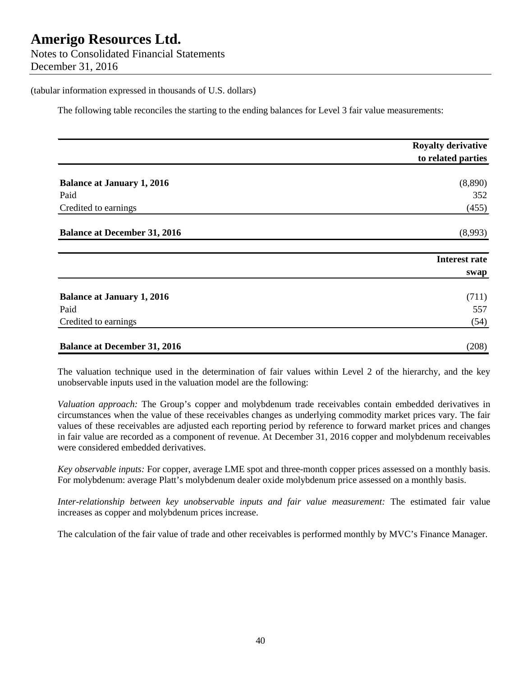Notes to Consolidated Financial Statements December 31, 2016

#### (tabular information expressed in thousands of U.S. dollars)

The following table reconciles the starting to the ending balances for Level 3 fair value measurements:

|                                     | <b>Royalty derivative</b> |
|-------------------------------------|---------------------------|
|                                     | to related parties        |
| <b>Balance at January 1, 2016</b>   | (8,890)                   |
| Paid                                | 352                       |
| Credited to earnings                | (455)                     |
| <b>Balance at December 31, 2016</b> | (8,993)                   |
|                                     | <b>Interest rate</b>      |
|                                     | swap                      |
| <b>Balance at January 1, 2016</b>   | (711)                     |
| Paid                                | 557                       |
| Credited to earnings                | (54)                      |
| <b>Balance at December 31, 2016</b> | (208)                     |

The valuation technique used in the determination of fair values within Level 2 of the hierarchy, and the key unobservable inputs used in the valuation model are the following:

*Valuation approach:* The Group's copper and molybdenum trade receivables contain embedded derivatives in circumstances when the value of these receivables changes as underlying commodity market prices vary. The fair values of these receivables are adjusted each reporting period by reference to forward market prices and changes in fair value are recorded as a component of revenue. At December 31, 2016 copper and molybdenum receivables were considered embedded derivatives.

*Key observable inputs:* For copper, average LME spot and three-month copper prices assessed on a monthly basis. For molybdenum: average Platt's molybdenum dealer oxide molybdenum price assessed on a monthly basis.

*Inter-relationship between key unobservable inputs and fair value measurement:* The estimated fair value increases as copper and molybdenum prices increase.

The calculation of the fair value of trade and other receivables is performed monthly by MVC's Finance Manager.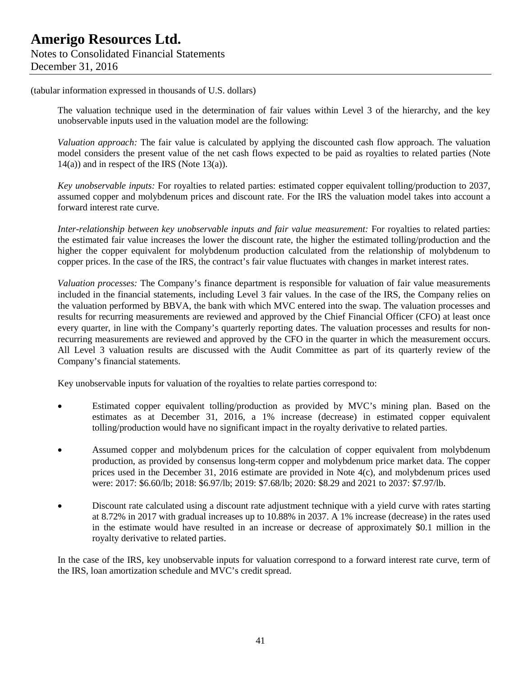The valuation technique used in the determination of fair values within Level 3 of the hierarchy, and the key unobservable inputs used in the valuation model are the following:

*Valuation approach:* The fair value is calculated by applying the discounted cash flow approach. The valuation model considers the present value of the net cash flows expected to be paid as royalties to related parties (Note  $14(a)$ ) and in respect of the IRS (Note 13(a)).

*Key unobservable inputs:* For royalties to related parties: estimated copper equivalent tolling/production to 2037, assumed copper and molybdenum prices and discount rate. For the IRS the valuation model takes into account a forward interest rate curve.

*Inter-relationship between key unobservable inputs and fair value measurement:* For royalties to related parties: the estimated fair value increases the lower the discount rate, the higher the estimated tolling/production and the higher the copper equivalent for molybdenum production calculated from the relationship of molybdenum to copper prices. In the case of the IRS, the contract's fair value fluctuates with changes in market interest rates.

*Valuation processes:* The Company's finance department is responsible for valuation of fair value measurements included in the financial statements, including Level 3 fair values. In the case of the IRS, the Company relies on the valuation performed by BBVA, the bank with which MVC entered into the swap. The valuation processes and results for recurring measurements are reviewed and approved by the Chief Financial Officer (CFO) at least once every quarter, in line with the Company's quarterly reporting dates. The valuation processes and results for nonrecurring measurements are reviewed and approved by the CFO in the quarter in which the measurement occurs. All Level 3 valuation results are discussed with the Audit Committee as part of its quarterly review of the Company's financial statements.

Key unobservable inputs for valuation of the royalties to relate parties correspond to:

- Estimated copper equivalent tolling/production as provided by MVC's mining plan. Based on the estimates as at December 31, 2016, a 1% increase (decrease) in estimated copper equivalent tolling/production would have no significant impact in the royalty derivative to related parties.
- Assumed copper and molybdenum prices for the calculation of copper equivalent from molybdenum production, as provided by consensus long-term copper and molybdenum price market data. The copper prices used in the December 31, 2016 estimate are provided in Note 4(c), and molybdenum prices used were: 2017: \$6.60/lb; 2018: \$6.97/lb; 2019: \$7.68/lb; 2020: \$8.29 and 2021 to 2037: \$7.97/lb.
- Discount rate calculated using a discount rate adjustment technique with a yield curve with rates starting at 8.72% in 2017 with gradual increases up to 10.88% in 2037. A 1% increase (decrease) in the rates used in the estimate would have resulted in an increase or decrease of approximately \$0.1 million in the royalty derivative to related parties.

In the case of the IRS, key unobservable inputs for valuation correspond to a forward interest rate curve, term of the IRS, loan amortization schedule and MVC's credit spread.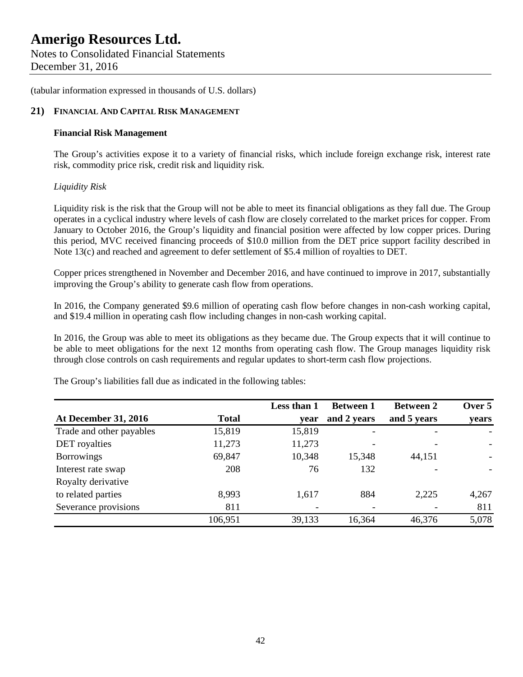Notes to Consolidated Financial Statements December 31, 2016

(tabular information expressed in thousands of U.S. dollars)

## **21) FINANCIAL AND CAPITAL RISK MANAGEMENT**

### **Financial Risk Management**

The Group's activities expose it to a variety of financial risks, which include foreign exchange risk, interest rate risk, commodity price risk, credit risk and liquidity risk.

### *Liquidity Risk*

Liquidity risk is the risk that the Group will not be able to meet its financial obligations as they fall due. The Group operates in a cyclical industry where levels of cash flow are closely correlated to the market prices for copper. From January to October 2016, the Group's liquidity and financial position were affected by low copper prices. During this period, MVC received financing proceeds of \$10.0 million from the DET price support facility described in Note 13(c) and reached and agreement to defer settlement of \$5.4 million of royalties to DET.

Copper prices strengthened in November and December 2016, and have continued to improve in 2017, substantially improving the Group's ability to generate cash flow from operations.

In 2016, the Company generated \$9.6 million of operating cash flow before changes in non-cash working capital, and \$19.4 million in operating cash flow including changes in non-cash working capital.

In 2016, the Group was able to meet its obligations as they became due. The Group expects that it will continue to be able to meet obligations for the next 12 months from operating cash flow. The Group manages liquidity risk through close controls on cash requirements and regular updates to short-term cash flow projections.

|                             |              | Less than 1 | <b>Between 1</b> | <b>Between 2</b> | Over 5 |
|-----------------------------|--------------|-------------|------------------|------------------|--------|
| <b>At December 31, 2016</b> | <b>Total</b> | vear        | and 2 years      | and 5 years      | years  |
| Trade and other payables    | 15,819       | 15,819      |                  |                  |        |
| DET royalties               | 11,273       | 11,273      |                  |                  |        |
| <b>Borrowings</b>           | 69,847       | 10,348      | 15,348           | 44,151           |        |
| Interest rate swap          | 208          | 76          | 132              |                  |        |
| Royalty derivative          |              |             |                  |                  |        |
| to related parties          | 8,993        | 1,617       | 884              | 2,225            | 4,267  |
| Severance provisions        | 811          |             |                  |                  | 811    |
|                             | 106,951      | 39,133      | 16,364           | 46,376           | 5,078  |

The Group's liabilities fall due as indicated in the following tables: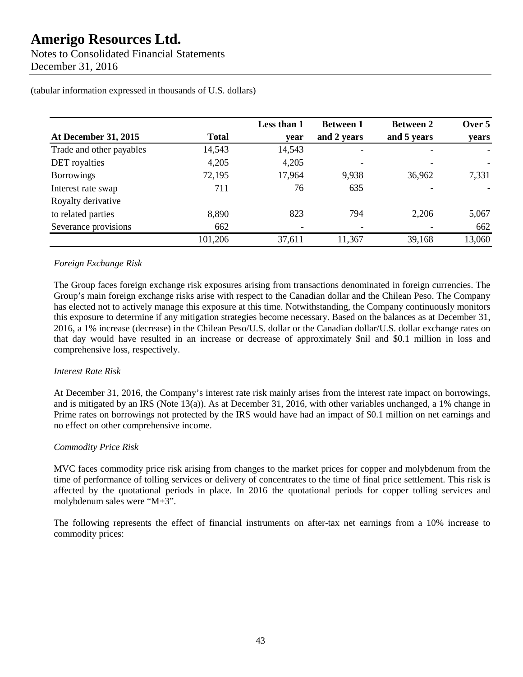Notes to Consolidated Financial Statements December 31, 2016

|                             |              | Less than 1 | <b>Between 1</b> | <b>Between 2</b> | Over 5 |
|-----------------------------|--------------|-------------|------------------|------------------|--------|
| <b>At December 31, 2015</b> | <b>Total</b> | year        | and 2 years      | and 5 years      | years  |
| Trade and other payables    | 14,543       | 14,543      |                  |                  |        |
| <b>DET</b> royalties        | 4,205        | 4,205       |                  |                  |        |
| <b>Borrowings</b>           | 72,195       | 17,964      | 9,938            | 36,962           | 7,331  |
| Interest rate swap          | 711          | 76          | 635              |                  |        |
| Royalty derivative          |              |             |                  |                  |        |
| to related parties          | 8,890        | 823         | 794              | 2,206            | 5,067  |
| Severance provisions        | 662          |             |                  |                  | 662    |
|                             | 101,206      | 37,611      | 11,367           | 39,168           | 13,060 |

(tabular information expressed in thousands of U.S. dollars)

## *Foreign Exchange Risk*

The Group faces foreign exchange risk exposures arising from transactions denominated in foreign currencies. The Group's main foreign exchange risks arise with respect to the Canadian dollar and the Chilean Peso. The Company has elected not to actively manage this exposure at this time. Notwithstanding, the Company continuously monitors this exposure to determine if any mitigation strategies become necessary. Based on the balances as at December 31, 2016, a 1% increase (decrease) in the Chilean Peso/U.S. dollar or the Canadian dollar/U.S. dollar exchange rates on that day would have resulted in an increase or decrease of approximately \$nil and \$0.1 million in loss and comprehensive loss, respectively.

### *Interest Rate Risk*

At December 31, 2016, the Company's interest rate risk mainly arises from the interest rate impact on borrowings, and is mitigated by an IRS (Note 13(a)). As at December 31, 2016, with other variables unchanged, a 1% change in Prime rates on borrowings not protected by the IRS would have had an impact of \$0.1 million on net earnings and no effect on other comprehensive income.

## *Commodity Price Risk*

MVC faces commodity price risk arising from changes to the market prices for copper and molybdenum from the time of performance of tolling services or delivery of concentrates to the time of final price settlement. This risk is affected by the quotational periods in place. In 2016 the quotational periods for copper tolling services and molybdenum sales were "M+3".

The following represents the effect of financial instruments on after-tax net earnings from a 10% increase to commodity prices: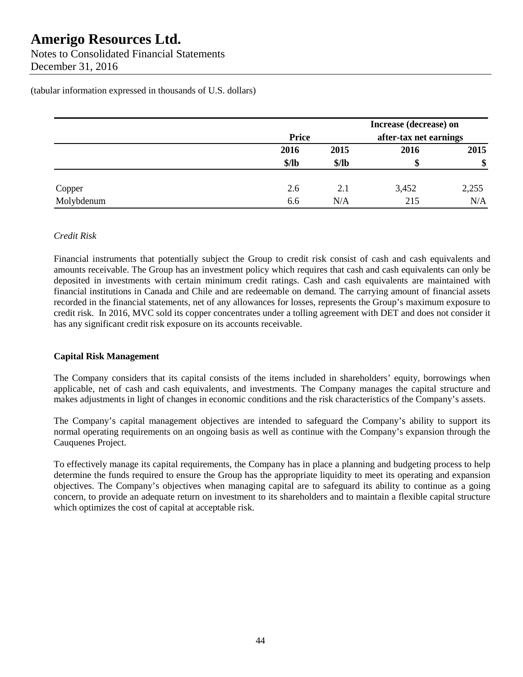Notes to Consolidated Financial Statements December 31, 2016

(tabular information expressed in thousands of U.S. dollars)

|            |       |              | Increase (decrease) on |                        |  |
|------------|-------|--------------|------------------------|------------------------|--|
|            |       | <b>Price</b> |                        | after-tax net earnings |  |
|            | 2016  | 2015         | 2016                   | 2015                   |  |
|            | \$/lb | \$/lb        | \$                     | \$                     |  |
| Copper     | 2.6   | 2.1          | 3,452                  | 2,255                  |  |
| Molybdenum | 6.6   | N/A          | 215                    | N/A                    |  |

## *Credit Risk*

Financial instruments that potentially subject the Group to credit risk consist of cash and cash equivalents and amounts receivable. The Group has an investment policy which requires that cash and cash equivalents can only be deposited in investments with certain minimum credit ratings. Cash and cash equivalents are maintained with financial institutions in Canada and Chile and are redeemable on demand. The carrying amount of financial assets recorded in the financial statements, net of any allowances for losses, represents the Group's maximum exposure to credit risk. In 2016, MVC sold its copper concentrates under a tolling agreement with DET and does not consider it has any significant credit risk exposure on its accounts receivable.

### **Capital Risk Management**

The Company considers that its capital consists of the items included in shareholders' equity, borrowings when applicable, net of cash and cash equivalents, and investments. The Company manages the capital structure and makes adjustments in light of changes in economic conditions and the risk characteristics of the Company's assets.

The Company's capital management objectives are intended to safeguard the Company's ability to support its normal operating requirements on an ongoing basis as well as continue with the Company's expansion through the Cauquenes Project.

To effectively manage its capital requirements, the Company has in place a planning and budgeting process to help determine the funds required to ensure the Group has the appropriate liquidity to meet its operating and expansion objectives. The Company's objectives when managing capital are to safeguard its ability to continue as a going concern, to provide an adequate return on investment to its shareholders and to maintain a flexible capital structure which optimizes the cost of capital at acceptable risk.